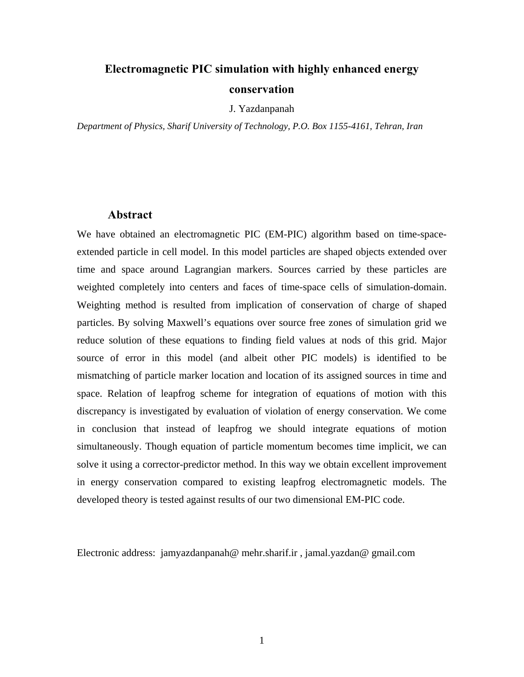# **Electromagnetic PIC simulation with highly enhanced energy conservation**

J. Yazdanpanah

*Department of Physics, Sharif University of Technology, P.O. Box 1155-4161, Tehran, Iran* 

#### **Abstract**

We have obtained an electromagnetic PIC (EM-PIC) algorithm based on time-spaceextended particle in cell model. In this model particles are shaped objects extended over time and space around Lagrangian markers. Sources carried by these particles are weighted completely into centers and faces of time-space cells of simulation-domain. Weighting method is resulted from implication of conservation of charge of shaped particles. By solving Maxwell's equations over source free zones of simulation grid we reduce solution of these equations to finding field values at nods of this grid. Major source of error in this model (and albeit other PIC models) is identified to be mismatching of particle marker location and location of its assigned sources in time and space. Relation of leapfrog scheme for integration of equations of motion with this discrepancy is investigated by evaluation of violation of energy conservation. We come in conclusion that instead of leapfrog we should integrate equations of motion simultaneously. Though equation of particle momentum becomes time implicit, we can solve it using a corrector-predictor method. In this way we obtain excellent improvement in energy conservation compared to existing leapfrog electromagnetic models. The developed theory is tested against results of our two dimensional EM-PIC code.

Electronic address: jamyazdanpanah@ mehr.sharif.ir , jamal.yazdan@ gmail.com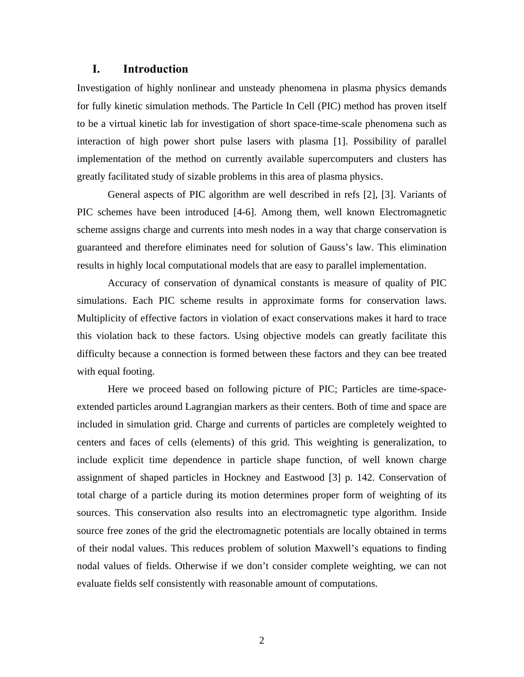#### **I. Introduction**

Investigation of highly nonlinear and unsteady phenomena in plasma physics demands for fully kinetic simulation methods. The Particle In Cell (PIC) method has proven itself to be a virtual kinetic lab for investigation of short space-time-scale phenomena such as interaction of high power short pulse lasers with plasma [1]. Possibility of parallel implementation of the method on currently available supercomputers and clusters has greatly facilitated study of sizable problems in this area of plasma physics.

General aspects of PIC algorithm are well described in refs [2], [3]. Variants of PIC schemes have been introduced [4-6]. Among them, well known Electromagnetic scheme assigns charge and currents into mesh nodes in a way that charge conservation is guaranteed and therefore eliminates need for solution of Gauss's law. This elimination results in highly local computational models that are easy to parallel implementation.

Accuracy of conservation of dynamical constants is measure of quality of PIC simulations. Each PIC scheme results in approximate forms for conservation laws. Multiplicity of effective factors in violation of exact conservations makes it hard to trace this violation back to these factors. Using objective models can greatly facilitate this difficulty because a connection is formed between these factors and they can bee treated with equal footing.

Here we proceed based on following picture of PIC; Particles are time-spaceextended particles around Lagrangian markers as their centers. Both of time and space are included in simulation grid. Charge and currents of particles are completely weighted to centers and faces of cells (elements) of this grid. This weighting is generalization, to include explicit time dependence in particle shape function, of well known charge assignment of shaped particles in Hockney and Eastwood [3] p. 142. Conservation of total charge of a particle during its motion determines proper form of weighting of its sources. This conservation also results into an electromagnetic type algorithm. Inside source free zones of the grid the electromagnetic potentials are locally obtained in terms of their nodal values. This reduces problem of solution Maxwell's equations to finding nodal values of fields. Otherwise if we don't consider complete weighting, we can not evaluate fields self consistently with reasonable amount of computations.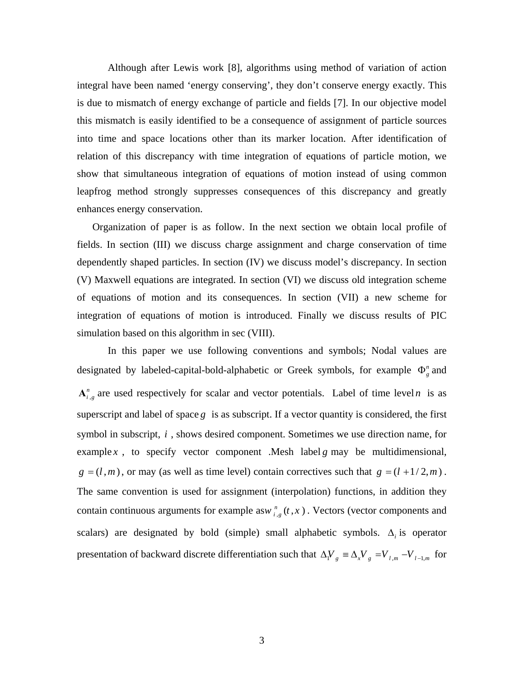Although after Lewis work [8], algorithms using method of variation of action integral have been named 'energy conserving', they don't conserve energy exactly. This is due to mismatch of energy exchange of particle and fields [7]. In our objective model this mismatch is easily identified to be a consequence of assignment of particle sources into time and space locations other than its marker location. After identification of relation of this discrepancy with time integration of equations of particle motion, we show that simultaneous integration of equations of motion instead of using common leapfrog method strongly suppresses consequences of this discrepancy and greatly enhances energy conservation.

Organization of paper is as follow. In the next section we obtain local profile of fields. In section (III) we discuss charge assignment and charge conservation of time dependently shaped particles. In section (IV) we discuss model's discrepancy. In section (V) Maxwell equations are integrated. In section (VI) we discuss old integration scheme of equations of motion and its consequences. In section (VII) a new scheme for integration of equations of motion is introduced. Finally we discuss results of PIC simulation based on this algorithm in sec (VIII).

 In this paper we use following conventions and symbols; Nodal values are designated by labeled-capital-bold-alphabetic or Greek symbols, for example  $Φ<sub>g</sub><sup>n</sup>$  and  $A_{i,g}^{n}$  are used respectively for scalar and vector potentials. Label of time level *n* is as superscript and label of space  $g$  is as subscript. If a vector quantity is considered, the first symbol in subscript, *i* , shows desired component. Sometimes we use direction name, for example *x*, to specify vector component . Mesh label *g* may be multidimensional,  $g = (l, m)$ , or may (as well as time level) contain correctives such that  $g = (l + 1/2, m)$ . The same convention is used for assignment (interpolation) functions, in addition they contain continuous arguments for example as  $w_{i,g}^{n}(t, x)$ . Vectors (vector components and scalars) are designated by bold (simple) small alphabetic symbols. Δ*<sup>i</sup>* is operator presentation of backward discrete differentiation such that  $\Delta V_g \equiv \Delta_x V_g = V_{l,m} - V_{l-1,m}$  for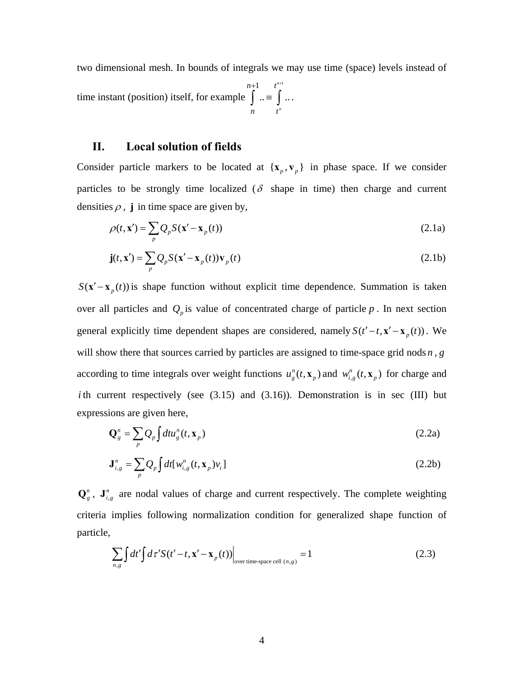two dimensional mesh. In bounds of integrals we may use time (space) levels instead of time instant (position) itself, for example  $1 \t t^{n+1}$  $\ldots \equiv$   $\vert \ldots$ *n n n t n t*  $+1$   $t^{n+1}$  $\int$  ..  $\equiv$   $\int$  ...

## **II. Local solution of fields**

Consider particle markers to be located at  $\{x_p, v_p\}$  in phase space. If we consider particles to be strongly time localized ( $\delta$  shape in time) then charge and current densities  $\rho$ , **j** in time space are given by,

$$
\rho(t, \mathbf{x}') = \sum_{p} Q_p S(\mathbf{x}' - \mathbf{x}_p(t))
$$
\n(2.1a)

$$
\mathbf{j}(t, \mathbf{x}') = \sum_{p} Q_p S(\mathbf{x}' - \mathbf{x}_p(t)) \mathbf{v}_p(t)
$$
\n(2.1b)

 $S(\mathbf{x}' - \mathbf{x}_p(t))$  is shape function without explicit time dependence. Summation is taken over all particles and  $Q_p$  is value of concentrated charge of particle  $p$ . In next section general explicitly time dependent shapes are considered, namely  $S(t'-t, \mathbf{x}' - \mathbf{x}_p(t))$ . We will show there that sources carried by particles are assigned to time-space grid nods *n* , *g* according to time integrals over weight functions  $u_g^n(t, \mathbf{x}_p)$  and  $w_{i,g}^n(t, \mathbf{x}_p)$  for charge and *i* th current respectively (see  $(3.15)$  and  $(3.16)$ ). Demonstration is in sec (III) but expressions are given here,

$$
\mathbf{Q}_{g}^{n} = \sum_{p} Q_{p} \int dt u_{g}^{n}(t, \mathbf{x}_{p})
$$
\n(2.2a)

$$
\mathbf{J}_{i,g}^n = \sum_p Q_p \int dt [w_{i,g}^n(t, \mathbf{x}_p) v_i]
$$
 (2.2b)

 $\mathbf{Q}_{g}^{n}$ ,  $\mathbf{J}_{i,g}^{n}$  are nodal values of charge and current respectively. The complete weighting criteria implies following normalization condition for generalized shape function of particle,

$$
\sum_{n,g} \int dt' \int d\tau' S(t'-t, \mathbf{x}' - \mathbf{x}_p(t)) \Big|_{\text{over time-space cell } (n,g)} = 1 \tag{2.3}
$$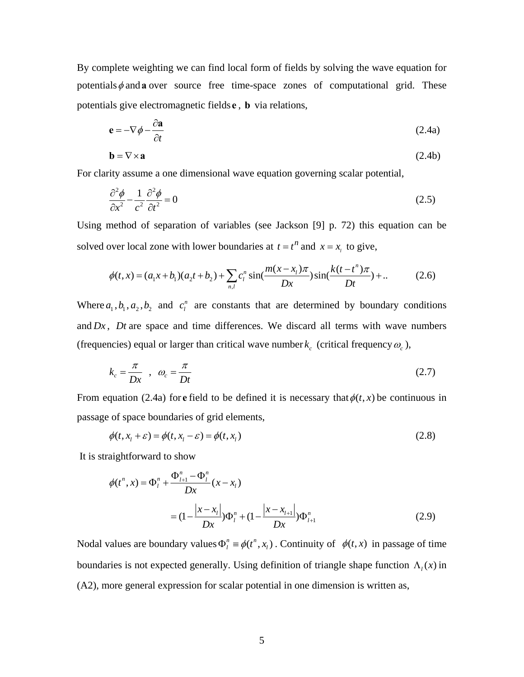By complete weighting we can find local form of fields by solving the wave equation for potentials  $\phi$  and **a** over source free time-space zones of computational grid. These potentials give electromagnetic fields **e** , **b** via relations,

$$
\mathbf{e} = -\nabla \phi - \frac{\partial \mathbf{a}}{\partial t} \tag{2.4a}
$$

$$
\mathbf{b} = \nabla \times \mathbf{a} \tag{2.4b}
$$

For clarity assume a one dimensional wave equation governing scalar potential,

$$
\frac{\partial^2 \phi}{\partial x^2} - \frac{1}{c^2} \frac{\partial^2 \phi}{\partial t^2} = 0
$$
\n(2.5)

Using method of separation of variables (see Jackson [9] p. 72) this equation can be solved over local zone with lower boundaries at  $t = t^n$  and  $x = x$ , to give,

$$
\phi(t,x) = (a_1x + b_1)(a_2t + b_2) + \sum_{n,l} c_l^n \sin(\frac{m(x - x_l)\pi}{Dx})\sin(\frac{k(t - t^n)\pi}{Dt}) + ... \tag{2.6}
$$

Where  $a_1$ ,  $b_1$ ,  $a_2$ ,  $b_2$  and  $c_1^n$  are constants that are determined by boundary conditions and  $Dx$ ,  $Dt$  are space and time differences. We discard all terms with wave numbers (frequencies) equal or larger than critical wave number  $k_c$  (critical frequency  $\omega_c$ ),

$$
k_c = \frac{\pi}{Dx} \quad , \quad \omega_c = \frac{\pi}{Dt} \tag{2.7}
$$

From equation (2.4a) for **e** field to be defined it is necessary that  $\phi(t, x)$  be continuous in passage of space boundaries of grid elements,

$$
\phi(t, x_1 + \varepsilon) = \phi(t, x_1 - \varepsilon) = \phi(t, x_1)
$$
\n(2.8)

It is straightforward to show

$$
\phi(t^n, x) = \Phi_l^n + \frac{\Phi_{l+1}^n - \Phi_l^n}{Dx}(x - x_l)
$$
  
=  $(1 - \frac{|x - x_l|}{Dx})\Phi_l^n + (1 - \frac{|x - x_{l+1}|}{Dx})\Phi_{l+1}^n$  (2.9)

Nodal values are boundary values  $\Phi_l^n \equiv \phi(t^n, x_l)$ . Continuity of  $\phi(t, x)$  in passage of time boundaries is not expected generally. Using definition of triangle shape function  $\Lambda_l(x)$  in (A2), more general expression for scalar potential in one dimension is written as,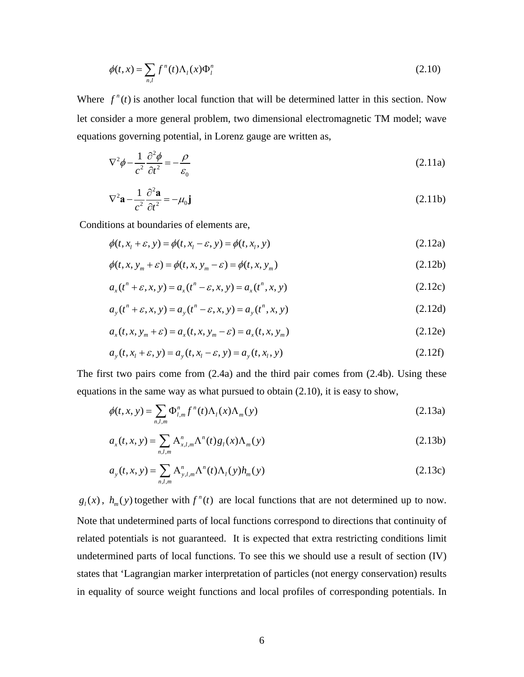$$
\phi(t,x) = \sum_{n,l} f^n(t) \Lambda_l(x) \Phi_l^n \tag{2.10}
$$

Where  $f''(t)$  is another local function that will be determined latter in this section. Now let consider a more general problem, two dimensional electromagnetic TM model; wave equations governing potential, in Lorenz gauge are written as,

$$
\nabla^2 \phi - \frac{1}{c^2} \frac{\partial^2 \phi}{\partial t^2} = -\frac{\rho}{\varepsilon_0}
$$
 (2.11a)

$$
\nabla^2 \mathbf{a} - \frac{1}{c^2} \frac{\partial^2 \mathbf{a}}{\partial t^2} = -\mu_0 \mathbf{j}
$$
 (2.11b)

Conditions at boundaries of elements are,

$$
\phi(t, x_1 + \varepsilon, y) = \phi(t, x_1 - \varepsilon, y) = \phi(t, x_1, y)
$$
\n(2.12a)

$$
\phi(t, x, y_m + \varepsilon) = \phi(t, x, y_m - \varepsilon) = \phi(t, x, y_m)
$$
\n(2.12b)

$$
a_x(t^n + \varepsilon, x, y) = a_x(t^n - \varepsilon, x, y) = a_x(t^n, x, y)
$$
\n(2.12c)

$$
a_y(t^n + \varepsilon, x, y) = a_y(t^n - \varepsilon, x, y) = a_y(t^n, x, y)
$$
\n(2.12d)

$$
a_x(t, x, y_m + \varepsilon) = a_x(t, x, y_m - \varepsilon) = a_x(t, x, y_m)
$$
 (2.12e)

$$
a_y(t, x_1 + \varepsilon, y) = a_y(t, x_1 - \varepsilon, y) = a_y(t, x_1, y)
$$
\n(2.12f)

The first two pairs come from (2.4a) and the third pair comes from (2.4b). Using these equations in the same way as what pursued to obtain (2.10), it is easy to show,

$$
\phi(t, x, y) = \sum_{n,l,m} \Phi_{l,m}^n f^n(t) \Lambda_l(x) \Lambda_m(y) \tag{2.13a}
$$

$$
a_x(t, x, y) = \sum_{n,l,m} A_{x,l,m}^n \Lambda^n(t) g_l(x) \Lambda_m(y)
$$
 (2.13b)

$$
a_{y}(t, x, y) = \sum_{n,l,m} A_{y,l,m}^{n} \Lambda^{n}(t) \Lambda_{l}(y) h_{m}(y)
$$
\n(2.13c)

 $g_l(x)$ ,  $h_m(y)$  together with  $f^n(t)$  are local functions that are not determined up to now. Note that undetermined parts of local functions correspond to directions that continuity of related potentials is not guaranteed. It is expected that extra restricting conditions limit undetermined parts of local functions. To see this we should use a result of section (IV) states that 'Lagrangian marker interpretation of particles (not energy conservation) results in equality of source weight functions and local profiles of corresponding potentials. In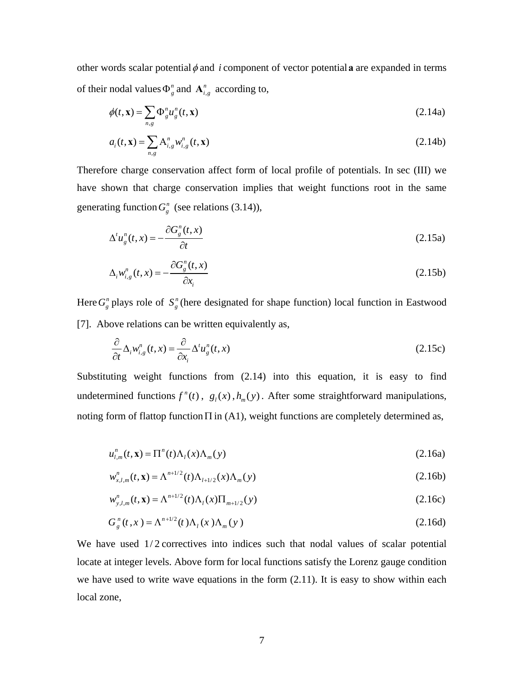other words scalar potential  $\phi$  and *i* component of vector potential **a** are expanded in terms of their nodal values  $\Phi_{g}^{n}$  and  $\mathbf{A}_{i,g}^{n}$  according to,

$$
\phi(t, \mathbf{x}) = \sum_{n,g} \Phi_g^n u_g^n(t, \mathbf{x})
$$
\n(2.14a)

$$
a_i(t, \mathbf{x}) = \sum_{n,g} A_{i,g}^n w_{i,g}^n(t, \mathbf{x})
$$
\n(2.14b)

Therefore charge conservation affect form of local profile of potentials. In sec (III) we have shown that charge conservation implies that weight functions root in the same generating function  $G_{g}^{n}$  (see relations (3.14)),

$$
\Delta^t u_g^n(t, x) = -\frac{\partial G_g^n(t, x)}{\partial t}
$$
\n(2.15a)

$$
\Delta_i w_{i,g}^n(t, x) = -\frac{\partial G_g^n(t, x)}{\partial x_i}
$$
\n(2.15b)

Here  $G_g^n$  plays role of  $S_g^n$  (here designated for shape function) local function in Eastwood [7]. Above relations can be written equivalently as,

$$
\frac{\partial}{\partial t} \Delta_i w_{i,g}^n(t, x) = \frac{\partial}{\partial x_i} \Delta^t u_g^n(t, x)
$$
\n(2.15c)

Substituting weight functions from (2.14) into this equation, it is easy to find undetermined functions  $f''(t)$ ,  $g_t(x)$ ,  $h_m(y)$ . After some straightforward manipulations, noting form of flattop function  $\Pi$  in (A1), weight functions are completely determined as,

$$
u_{l,m}^n(t, \mathbf{x}) = \Pi^n(t)\Lambda_l(x)\Lambda_m(y)
$$
\n(2.16a)

$$
w_{x,l,m}^n(t, \mathbf{x}) = \Lambda^{n+1/2}(t)\Lambda_{l+1/2}(x)\Lambda_m(y)
$$
 (2.16b)

$$
w_{y,l,m}^n(t, \mathbf{x}) = \Lambda^{n+1/2}(t)\Lambda_l(x)\Pi_{m+1/2}(y)
$$
\n(2.16c)

$$
G_g^n(t, x) = \Lambda^{n+1/2}(t)\Lambda_l(x)\Lambda_m(y)
$$
\n(2.16d)

We have used 1/2 correctives into indices such that nodal values of scalar potential locate at integer levels. Above form for local functions satisfy the Lorenz gauge condition we have used to write wave equations in the form (2.11). It is easy to show within each local zone,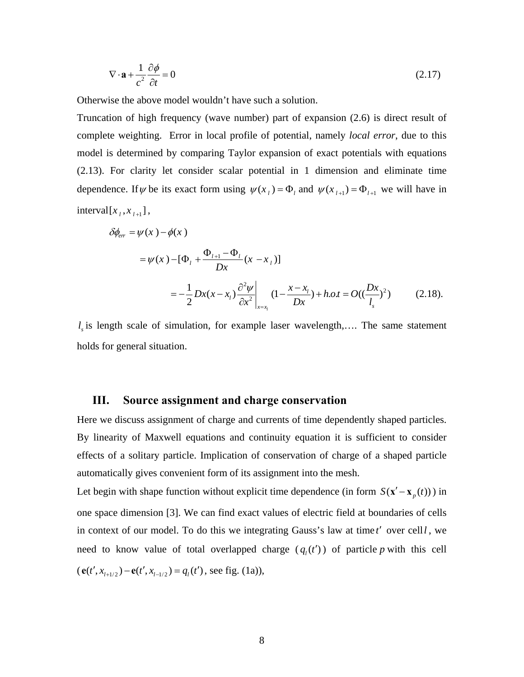$$
\nabla \cdot \mathbf{a} + \frac{1}{c^2} \frac{\partial \phi}{\partial t} = 0
$$
 (2.17)

Otherwise the above model wouldn't have such a solution.

Truncation of high frequency (wave number) part of expansion (2.6) is direct result of complete weighting. Error in local profile of potential, namely *local error*, due to this model is determined by comparing Taylor expansion of exact potentials with equations (2.13). For clarity let consider scalar potential in 1 dimension and eliminate time dependence. If  $\psi$  be its exact form using  $\psi(x_i) = \Phi_i$  and  $\psi(x_{i+1}) = \Phi_{i+1}$  we will have in  $interval[x_i, x_{i+1}],$ 

$$
\delta \phi_{er} = \psi(x) - \phi(x)
$$
  
=  $\psi(x) - [\Phi_{l} + \frac{\Phi_{l+1} - \Phi_{l}}{Dx}(x - x_{l})]$   
=  $-\frac{1}{2}Dx(x - x_{l}) \frac{\partial^{2} \psi}{\partial x^{2}} \bigg|_{x = x_{l}} (1 - \frac{x - x_{l}}{Dx}) + h.o.t = O((\frac{Dx}{l_{s}})^{2})$  (2.18).

 $l<sub>s</sub>$  is length scale of simulation, for example laser wavelength,.... The same statement holds for general situation.

#### **III. Source assignment and charge conservation**

Here we discuss assignment of charge and currents of time dependently shaped particles. By linearity of Maxwell equations and continuity equation it is sufficient to consider effects of a solitary particle. Implication of conservation of charge of a shaped particle automatically gives convenient form of its assignment into the mesh.

Let begin with shape function without explicit time dependence (in form  $S(\mathbf{x}' - \mathbf{x}_p(t))$ ) in one space dimension [3]. We can find exact values of electric field at boundaries of cells in context of our model. To do this we integrating Gauss's law at time *t*′ over cell*l* , we need to know value of total overlapped charge  $(q_i(t'))$  of particle *p* with this cell  $(e(t', x_{t+1/2}) - e(t', x_{t-1/2}) = q_1(t')$ , see fig. (1a)),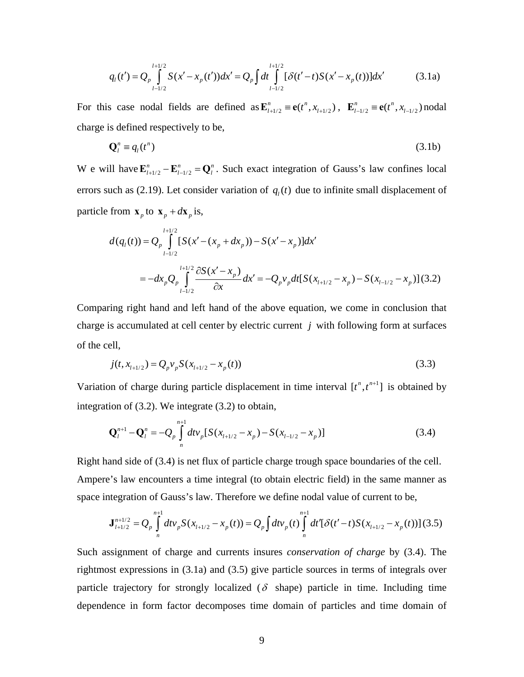$$
q_l(t') = Q_p \int_{l-l/2}^{l+1/2} S(x'-x_p(t'))dx' = Q_p \int dt \int_{l-l/2}^{l+1/2} [\delta(t'-t)S(x'-x_p(t))]dx'
$$
 (3.1a)

For this case nodal fields are defined as  $\mathbf{E}_{t+1/2}^n \equiv \mathbf{e}(t^n, x_{t+1/2})$ ,  $\mathbf{E}_{t-1/2}^n \equiv \mathbf{e}(t^n, x_{t-1/2})$  nodal charge is defined respectively to be,

$$
\mathbf{Q}_l^n \equiv q_l(t^n) \tag{3.1b}
$$

W e will have  $\mathbf{E}_{l+1/2}^n - \mathbf{E}_{l-1/2}^n = \mathbf{Q}_l^n$ . Such exact integration of Gauss's law confines local errors such as (2.19). Let consider variation of  $q_i(t)$  due to infinite small displacement of particle from  $\mathbf{x}_p$  to  $\mathbf{x}_p + d\mathbf{x}_p$  is,

$$
d(q_{l}(t)) = Q_{p} \int_{l-1/2}^{l+1/2} [S(x' - (x_{p} + dx_{p})) - S(x' - x_{p})] dx'
$$
  
= 
$$
-dx_{p} Q_{p} \int_{l-1/2}^{l+1/2} \frac{\partial S(x' - x_{p})}{\partial x} dx' = -Q_{p} v_{p} dt [S(x_{l+1/2} - x_{p}) - S(x_{l-1/2} - x_{p})](3.2)
$$

Comparing right hand and left hand of the above equation, we come in conclusion that charge is accumulated at cell center by electric current *j* with following form at surfaces of the cell,

$$
j(t, x_{l+1/2}) = Q_p v_p S(x_{l+1/2} - x_p(t))
$$
\n(3.3)

Variation of charge during particle displacement in time interval  $[t^n, t^{n+1}]$  is obtained by integration of (3.2). We integrate (3.2) to obtain,

$$
\mathbf{Q}_{l}^{n+1} - \mathbf{Q}_{l}^{n} = -Q_{p} \int_{n}^{n+1} dt v_{p} \left[ S(x_{l+1/2} - x_{p}) - S(x_{l-1/2} - x_{p}) \right]
$$
(3.4)

Right hand side of (3.4) is net flux of particle charge trough space boundaries of the cell. Ampere's law encounters a time integral (to obtain electric field) in the same manner as space integration of Gauss's law. Therefore we define nodal value of current to be,

$$
\mathbf{J}_{l+1/2}^{n+1/2} = Q_p \int_{n}^{n+1} dt v_p S(x_{l+1/2} - x_p(t)) = Q_p \int_{n}^{n+1} dt' \left[ \delta(t'-t) S(x_{l+1/2} - x_p(t)) \right] (3.5)
$$

Such assignment of charge and currents insures *conservation of charge* by (3.4). The rightmost expressions in (3.1a) and (3.5) give particle sources in terms of integrals over particle trajectory for strongly localized ( $\delta$  shape) particle in time. Including time dependence in form factor decomposes time domain of particles and time domain of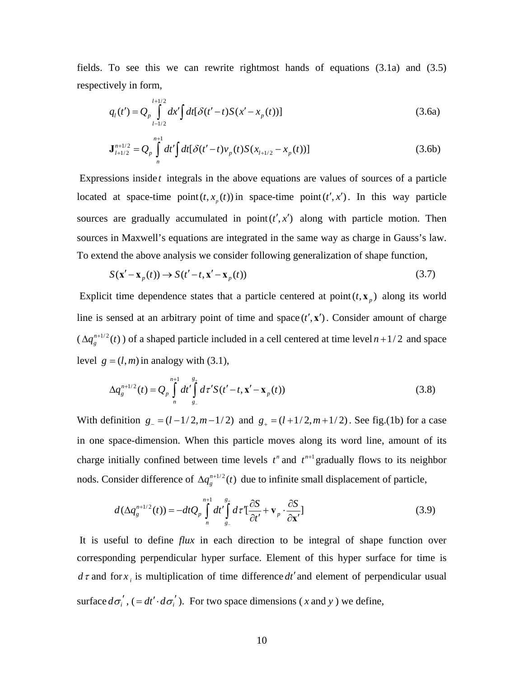fields. To see this we can rewrite rightmost hands of equations (3.1a) and (3.5) respectively in form,

$$
q_l(t') = Q_p \int_{l-l/2}^{l+l/2} dx' \int dt [\delta(t'-t)S(x'-x_p(t))]
$$
\n(3.6a)

$$
\mathbf{J}_{l+1/2}^{n+1/2} = Q_p \int_{n}^{n+1} dt' \int dt [\delta(t'-t)v_p(t)S(x_{l+1/2} - x_p(t))]
$$
(3.6b)

Expressions inside *t* integrals in the above equations are values of sources of a particle located at space-time point  $(t, x_{p}(t))$  in space-time point  $(t', x')$ . In this way particle sources are gradually accumulated in  $point(t', x')$  along with particle motion. Then sources in Maxwell's equations are integrated in the same way as charge in Gauss's law. To extend the above analysis we consider following generalization of shape function,

$$
S(\mathbf{x}' - \mathbf{x}_p(t)) \to S(t' - t, \mathbf{x}' - \mathbf{x}_p(t))
$$
\n(3.7)

Explicit time dependence states that a particle centered at point  $(t, x_n)$  along its world line is sensed at an arbitrary point of time and space  $(t', x')$ . Consider amount of charge  $(\Delta q_g^{n+1/2}(t))$  of a shaped particle included in a cell centered at time level  $n+1/2$  and space level  $g = (l, m)$  in analogy with (3.1),

$$
\Delta q_g^{n+1/2}(t) = Q_p \int_{n}^{n+1} dt' \int_{g_-}^{g_+} d\tau' S(t'-t, \mathbf{x}' - \mathbf{x}_p(t))
$$
\n(3.8)

With definition  $g = (l - 1/2, m - 1/2)$  and  $g_{+} = (l + 1/2, m + 1/2)$ . See fig.(1b) for a case in one space-dimension. When this particle moves along its word line, amount of its charge initially confined between time levels  $t^n$  and  $t^{n+1}$  gradually flows to its neighbor nods. Consider difference of  $\Delta q_g^{n+1/2}(t)$  due to infinite small displacement of particle,

$$
d(\Delta q_g^{n+1/2}(t)) = -dt Q_p \int\limits_{n}^{n+1} dt' \int\limits_{g_-}^{g_+} d\tau' \left[ \frac{\partial S}{\partial t'} + \mathbf{v}_p \cdot \frac{\partial S}{\partial \mathbf{x}'} \right]
$$
(3.9)

 It is useful to define *flux* in each direction to be integral of shape function over corresponding perpendicular hyper surface. Element of this hyper surface for time is  $d\tau$  and for  $x_i$  is multiplication of time difference  $dt'$  and element of perpendicular usual surface  $d\sigma'_{i}$ , (=  $dt' \cdot d\sigma'_{i}$ ). For two space dimensions (*x* and *y*) we define,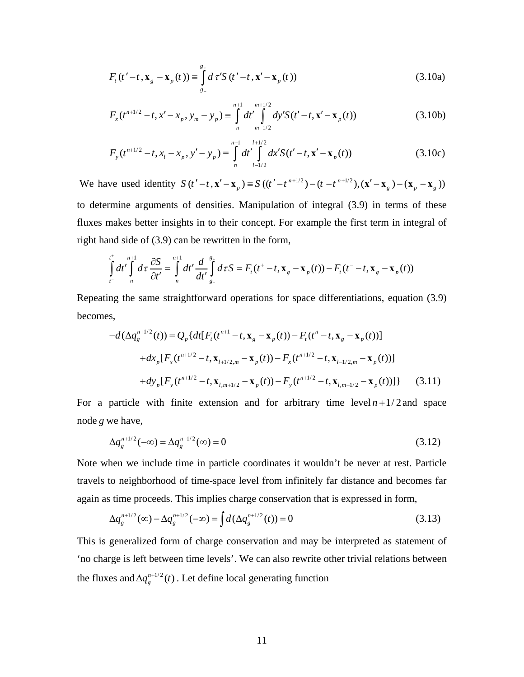$$
F_t(t'-t, \mathbf{x}_g - \mathbf{x}_p(t)) \equiv \int_{g_-}^{g_+} d\tau' S(t'-t, \mathbf{x}' - \mathbf{x}_p(t))
$$
\n(3.10a)

$$
F_x(t^{n+1/2} - t, x' - x_p, y_m - y_p) \equiv \int_{n}^{n+1} dt' \int_{m-1/2}^{m+1/2} dy' S(t' - t, x' - x_p(t))
$$
 (3.10b)

$$
F_{y}(t^{n+1/2} - t, x_{l} - x_{p}, y' - y_{p}) \equiv \int_{n}^{n+1} dt' \int_{l-l/2}^{l+l/2} dx' S(t' - t, x' - x_{p}(t))
$$
(3.10c)

We have used identity  $S(t'-t, \mathbf{x}' - \mathbf{x}_p) = S(t'-t^{-n+1/2}) - (t-t^{-n+1/2}), (\mathbf{x}' - \mathbf{x}_g) - (\mathbf{x}_p - \mathbf{x}_g))$ to determine arguments of densities. Manipulation of integral (3.9) in terms of these fluxes makes better insights in to their concept. For example the first term in integral of right hand side of (3.9) can be rewritten in the form,

$$
\int_{t^{-}}^{t^{+}} dt' \int_{n}^{n+1} d\tau \frac{\partial S}{\partial t'} = \int_{n}^{n+1} dt' \frac{d}{dt'} \int_{g_{-}}^{g_{+}} d\tau S = F_{t}(t^{+} - t, \mathbf{x}_{g} - \mathbf{x}_{p}(t)) - F_{t}(t^{-} - t, \mathbf{x}_{g} - \mathbf{x}_{p}(t))
$$

Repeating the same straightforward operations for space differentiations, equation (3.9) becomes,

$$
-d(\Delta q_g^{n+1/2}(t)) = Q_p \{ dt [F_t(t^{n+1} - t, \mathbf{x}_g - \mathbf{x}_p(t)) - F_t(t^n - t, \mathbf{x}_g - \mathbf{x}_p(t))]
$$
  
+  $dx_p [F_x(t^{n+1/2} - t, \mathbf{x}_{l+1/2,m} - \mathbf{x}_p(t)) - F_x(t^{n+1/2} - t, \mathbf{x}_{l-1/2,m} - \mathbf{x}_p(t))]$   
+  $dy_p [F_y(t^{n+1/2} - t, \mathbf{x}_{l,m+1/2} - \mathbf{x}_p(t)) - F_y(t^{n+1/2} - t, \mathbf{x}_{l,m-1/2} - \mathbf{x}_p(t)) ] \}$  (3.11)

For a particle with finite extension and for arbitrary time  $\frac{1}{2}$  evel  $n + \frac{1}{2}$  and space node *g* we have,

$$
\Delta q_g^{n+1/2}(-\infty) = \Delta q_g^{n+1/2}(\infty) = 0
$$
\n(3.12)

Note when we include time in particle coordinates it wouldn't be never at rest. Particle travels to neighborhood of time-space level from infinitely far distance and becomes far again as time proceeds. This implies charge conservation that is expressed in form,

$$
\Delta q_s^{n+1/2}(\infty) - \Delta q_s^{n+1/2}(-\infty) = \int d(\Delta q_s^{n+1/2}(t)) = 0
$$
\n(3.13)

This is generalized form of charge conservation and may be interpreted as statement of 'no charge is left between time levels'. We can also rewrite other trivial relations between the fluxes and  $\Delta q_g^{n+1/2}(t)$ . Let define local generating function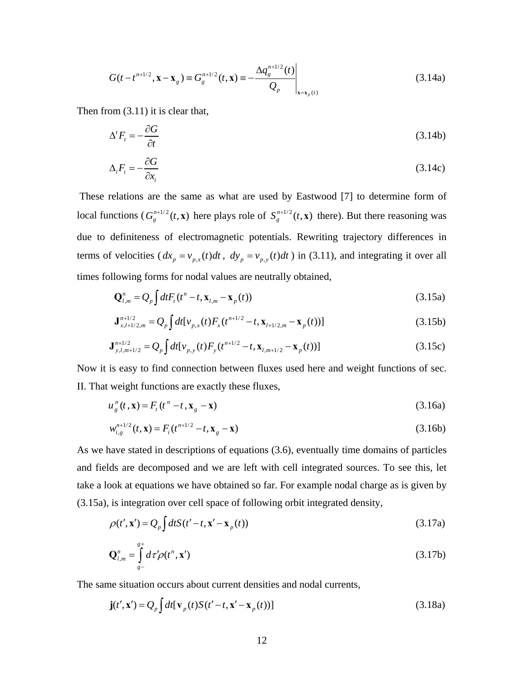$$
G(t - t^{n+1/2}, \mathbf{x} - \mathbf{x}_g) \equiv G_g^{n+1/2}(t, \mathbf{x}) \equiv -\frac{\Delta q_g^{n+1/2}(t)}{Q_p}\Big|_{\mathbf{x} = \mathbf{x}_p(t)}
$$
(3.14a)

Then from (3.11) it is clear that,

$$
\Delta' F_t = -\frac{\partial G}{\partial t} \tag{3.14b}
$$

$$
\Delta_i F_i = -\frac{\partial G}{\partial x_i} \tag{3.14c}
$$

 These relations are the same as what are used by Eastwood [7] to determine form of local functions  $(G_g^{n+1/2}(t, \mathbf{x}))$  here plays role of  $S_g^{n+1/2}(t, \mathbf{x})$  there). But there reasoning was due to definiteness of electromagnetic potentials. Rewriting trajectory differences in terms of velocities  $(dx_p = v_{p,x}(t)dt$ ,  $dy_p = v_{p,y}(t)dt$  in (3.11), and integrating it over all times following forms for nodal values are neutrally obtained,

$$
\mathbf{Q}_{l,m}^{n} = Q_p \int dt F_t(t^n - t, \mathbf{x}_{l,m} - \mathbf{x}_p(t))
$$
\n(3.15a)

$$
\mathbf{J}_{x,l+1/2,m}^{n+1/2} = Q_p \int dt \left[ v_{p,x}(t) F_x(t^{n+1/2} - t, \mathbf{x}_{l+1/2,m} - \mathbf{x}_p(t)) \right]
$$
(3.15b)

$$
\mathbf{J}_{y,l,m+1/2}^{n+1/2} = Q_p \int dt \left[ v_{p,y}(t) F_y(t^{n+1/2} - t, \mathbf{x}_{l,m+1/2} - \mathbf{x}_p(t)) \right]
$$
(3.15c)

Now it is easy to find connection between fluxes used here and weight functions of sec. II. That weight functions are exactly these fluxes,

$$
u_g^n(t, \mathbf{x}) = F_t(t^n - t, \mathbf{x}_g - \mathbf{x})
$$
\n(3.16a)

$$
w_{i,g}^{n+1/2}(t, \mathbf{x}) = F_i(t^{n+1/2} - t, \mathbf{x}_g - \mathbf{x})
$$
\n(3.16b)

As we have stated in descriptions of equations (3.6), eventually time domains of particles and fields are decomposed and we are left with cell integrated sources. To see this, let take a look at equations we have obtained so far. For example nodal charge as is given by (3.15a), is integration over cell space of following orbit integrated density,

$$
\rho(t', \mathbf{x}') = Q_p \int dt S(t'-t, \mathbf{x}' - \mathbf{x}_p(t))
$$
\n(3.17a)

$$
\mathbf{Q}_{l,m}^n = \int_{g-}^{g+} d\tau' \rho(t^n, \mathbf{x'}) \tag{3.17b}
$$

The same situation occurs about current densities and nodal currents,

$$
\mathbf{j}(t', \mathbf{x}') = Q_p \int dt [\mathbf{v}_p(t) S(t'-t, \mathbf{x}' - \mathbf{x}_p(t))]
$$
(3.18a)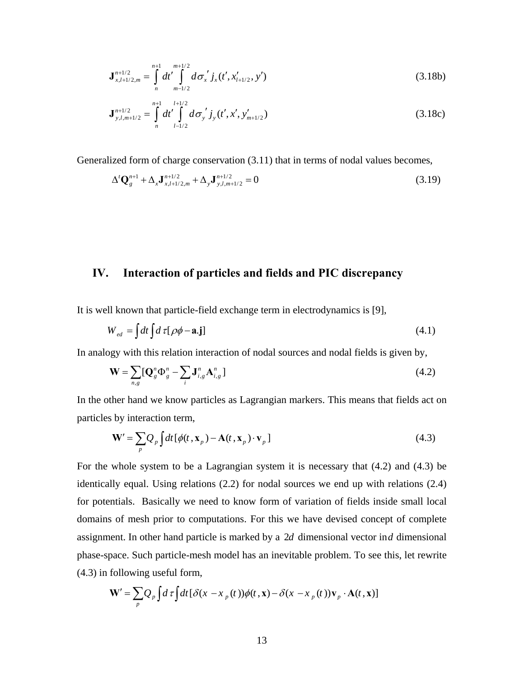$$
\mathbf{J}_{x,l+1/2,m}^{n+1/2} = \int_{n}^{n+1} dt' \int_{m-1/2}^{m+1/2} d\sigma_x' j_x(t', x'_{l+1/2}, y') \tag{3.18b}
$$

$$
\mathbf{J}_{y,l,m+1/2}^{n+1/2} = \int_{n}^{n+1} dt' \int_{l-1/2}^{l+1/2} d\sigma_{y}^{\prime} j_{y}(t',x',y_{m+1/2}^{\prime})
$$
(3.18c)

Generalized form of charge conservation (3.11) that in terms of nodal values becomes,

$$
\Delta^t \mathbf{Q}_{g}^{n+1} + \Delta_x \mathbf{J}_{x,l+1/2,m}^{n+1/2} + \Delta_y \mathbf{J}_{y,l,m+1/2}^{n+1/2} = 0
$$
\n(3.19)

### **IV. Interaction of particles and fields and PIC discrepancy**

It is well known that particle-field exchange term in electrodynamics is [9],

 $\mathbf{r}$  $\overline{a}$ 

$$
W_{ed} = \int dt \int d\tau [\rho \phi - \mathbf{a} \cdot \mathbf{j}] \tag{4.1}
$$

In analogy with this relation interaction of nodal sources and nodal fields is given by,

$$
\mathbf{W} = \sum_{n,g} [\mathbf{Q}_{g}^{n} \Phi_{g}^{n} - \sum_{i} \mathbf{J}_{i,g}^{n} \mathbf{A}_{i,g}^{n}]
$$
(4.2)

In the other hand we know particles as Lagrangian markers. This means that fields act on particles by interaction term,

$$
\mathbf{W}' = \sum_{p} Q_{p} \int dt \left[ \phi(t, \mathbf{x}_{p}) - \mathbf{A}(t, \mathbf{x}_{p}) \cdot \mathbf{v}_{p} \right]
$$
(4.3)

For the whole system to be a Lagrangian system it is necessary that (4.2) and (4.3) be identically equal. Using relations (2.2) for nodal sources we end up with relations (2.4) for potentials. Basically we need to know form of variation of fields inside small local domains of mesh prior to computations. For this we have devised concept of complete assignment. In other hand particle is marked by a 2*d* dimensional vector in*d* dimensional phase-space. Such particle-mesh model has an inevitable problem. To see this, let rewrite (4.3) in following useful form,

$$
\mathbf{W}' = \sum_{p} Q_{p} \int d\tau \int dt \left[ \delta(x - x_{p}(t)) \phi(t, \mathbf{x}) - \delta(x - x_{p}(t)) \mathbf{v}_{p} \cdot \mathbf{A}(t, \mathbf{x}) \right]
$$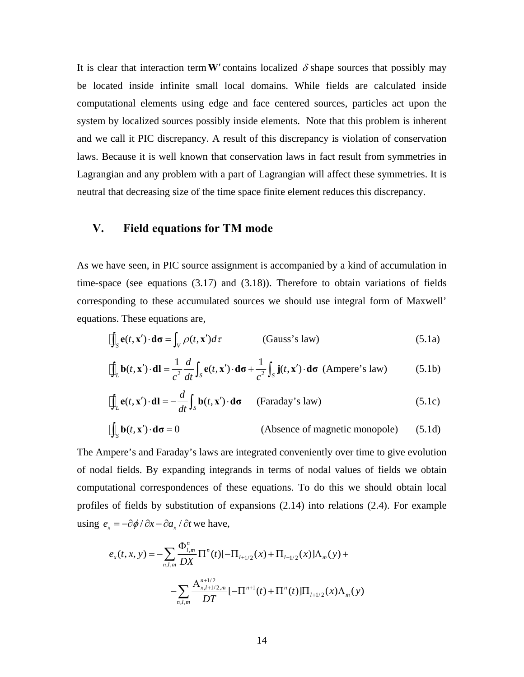It is clear that interaction term **W**<sup> $\prime$ </sup> contains localized  $\delta$  shape sources that possibly may be located inside infinite small local domains. While fields are calculated inside computational elements using edge and face centered sources, particles act upon the system by localized sources possibly inside elements. Note that this problem is inherent and we call it PIC discrepancy. A result of this discrepancy is violation of conservation laws. Because it is well known that conservation laws in fact result from symmetries in Lagrangian and any problem with a part of Lagrangian will affect these symmetries. It is neutral that decreasing size of the time space finite element reduces this discrepancy.

# **V. Field equations for TM mode**

As we have seen, in PIC source assignment is accompanied by a kind of accumulation in time-space (see equations (3.17) and (3.18)). Therefore to obtain variations of fields corresponding to these accumulated sources we should use integral form of Maxwell' equations. These equations are,

$$
\iint_{S} \mathbf{e}(t, \mathbf{x}') \cdot d\sigma = \int_{V} \rho(t, \mathbf{x}') d\tau
$$
 (Gauss's law) (5.1a)

$$
\iint_L \mathbf{b}(t, \mathbf{x}') \cdot d\mathbf{l} = \frac{1}{c^2} \frac{d}{dt} \int_S \mathbf{e}(t, \mathbf{x}') \cdot d\sigma + \frac{1}{c^2} \int_S \mathbf{j}(t, \mathbf{x}') \cdot d\sigma \text{ (Ampere's law)} \tag{5.1b}
$$

$$
\iint_{L} \mathbf{e}(t, \mathbf{x}') \cdot \mathbf{dl} = -\frac{d}{dt} \int_{S} \mathbf{b}(t, \mathbf{x}') \cdot \mathbf{d}\sigma \qquad \text{(Faraday's law)} \tag{5.1c}
$$

$$
\iint_{S} \mathbf{b}(t, \mathbf{x}') \cdot d\sigma = 0
$$
 (Absence of magnetic monopole) (5.1d)

The Ampere's and Faraday's laws are integrated conveniently over time to give evolution of nodal fields. By expanding integrands in terms of nodal values of fields we obtain computational correspondences of these equations. To do this we should obtain local profiles of fields by substitution of expansions (2.14) into relations (2.4). For example using  $e_x = -\frac{\partial \phi}{\partial x} - \frac{\partial a_x}{\partial t}$  we have,

$$
e_x(t, x, y) = -\sum_{n,l,m} \frac{\Phi^n_{l,m}}{DX} \Pi^n(t) \left[ -\Pi_{l+1/2}(x) + \Pi_{l-1/2}(x) \right] \Lambda_m(y) +
$$

$$
-\sum_{n,l,m} \frac{\mathbf{A}_{x,l+1/2,m}^{n+1/2}}{DT} \left[ -\Pi^{n+1}(t) + \Pi^n(t) \right] \Pi_{l+1/2}(x) \Lambda_m(y)
$$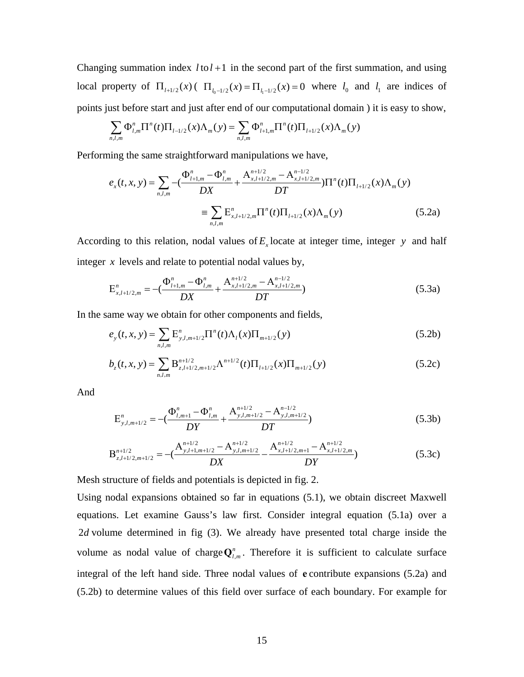Changing summation index  $l$  to  $l + 1$  in the second part of the first summation, and using local property of  $\Pi_{l+1/2}(x)$  ( $\Pi_{l_0-1/2}(x) = \Pi_{l_1-1/2}(x) = 0$  where  $l_0$  and  $l_1$  are indices of points just before start and just after end of our computational domain ) it is easy to show,

$$
\sum_{n,l,m} \Phi_{l,m}^n \Pi^n(t) \Pi_{l-1/2}(x) \Lambda_m(y) = \sum_{n,l,m} \Phi_{l+1,m}^n \Pi^n(t) \Pi_{l+1/2}(x) \Lambda_m(y)
$$

Performing the same straightforward manipulations we have,

$$
e_x(t, x, y) = \sum_{n,l,m} -(\frac{\Phi_{l+1,m}^n - \Phi_{l,m}^n}{DX} + \frac{A_{x,l+1/2,m}^{n+1/2} - A_{x,l+1/2,m}^{n-1/2}}{DT})\Pi^n(t)\Pi_{l+1/2}(x)\Lambda_m(y)
$$
  

$$
\equiv \sum_{n,l,m} E_{x,l+1/2,m}^n \Pi^n(t)\Pi_{l+1/2}(x)\Lambda_m(y)
$$
(5.2a)

According to this relation, nodal values of  $E<sub>x</sub>$  locate at integer time, integer *y* and half integer *x* levels and relate to potential nodal values by,

$$
E_{x,l+1/2,m}^{n} = -\left(\frac{\Phi_{l+1,m}^{n} - \Phi_{l,m}^{n}}{DX} + \frac{A_{x,l+1/2,m}^{n+1/2} - A_{x,l+1/2,m}^{n-1/2}}{DT}\right)
$$
(5.3a)

In the same way we obtain for other components and fields,

$$
e_{y}(t,x,y) = \sum_{n,l,m} E_{y,l,m+1/2}^{n} \Pi^{n}(t) \Lambda_{l}(x) \Pi_{m+1/2}(y)
$$
\n(5.2b)

$$
b_z(t, x, y) = \sum_{n,l,m} B_{z,l+l/2,m+l/2}^{n+l/2} \Lambda^{n+l/2}(t) \Pi_{l+l/2}(x) \Pi_{m+l/2}(y)
$$
(5.2c)

And

$$
E_{y,l,m+1/2}^{n} = -(\frac{\Phi_{l,m+1}^{n} - \Phi_{l,m}^{n}}{DY} + \frac{A_{y,l,m+1/2}^{n+1/2} - A_{y,l,m+1/2}^{n-1/2}}{DT})
$$
(5.3b)

$$
\mathbf{B}_{z,l+1/2,m+1/2}^{n+1/2} = -(\frac{\mathbf{A}_{y,l+1,m+1/2}^{n+1/2} - \mathbf{A}_{y,l,m+1/2}^{n+1/2}}{DX} - \frac{\mathbf{A}_{x,l+1/2,m+1}^{n+1/2} - \mathbf{A}_{x,l+1/2,m}^{n+1/2}}{DY})
$$
(5.3c)

Mesh structure of fields and potentials is depicted in fig. 2.

Using nodal expansions obtained so far in equations (5.1), we obtain discreet Maxwell equations. Let examine Gauss's law first. Consider integral equation (5.1a) over a 2*d* volume determined in fig (3). We already have presented total charge inside the volume as nodal value of charge  $Q_{l,m}^n$ . Therefore it is sufficient to calculate surface integral of the left hand side. Three nodal values of **e** contribute expansions (5.2a) and (5.2b) to determine values of this field over surface of each boundary. For example for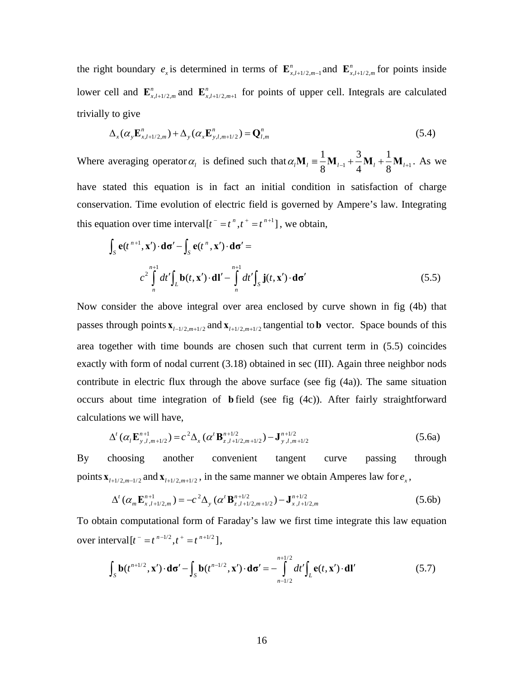the right boundary  $e_x$  is determined in terms of  $\mathbf{E}_{x,l+1/2,m-1}^n$  and  $\mathbf{E}_{x,l+1/2,m}^n$  for points inside lower cell and  $\mathbf{E}_{x, l+1/2, m}^{n}$  and  $\mathbf{E}_{x, l+1/2, m+1}^{n}$  for points of upper cell. Integrals are calculated trivially to give

$$
\Delta_x(\alpha_y \mathbf{E}_{x,t+1/2,m}^n) + \Delta_y(\alpha_x \mathbf{E}_{y,t,m+1/2}^n) = \mathbf{Q}_{t,m}^n
$$
\n(5.4)

Where averaging operator  $\alpha_l$  is defined such that  $\alpha_l \mathbf{M}_l = \frac{1}{2} \mathbf{M}_{l-1} + \frac{3}{4} \mathbf{M}_{l} + \frac{1}{2} \mathbf{M}_{l+1}$  $\alpha_l \mathbf{M}_l \equiv \frac{1}{8} \mathbf{M}_{l-1} + \frac{3}{4} \mathbf{M}_l + \frac{1}{8} \mathbf{M}_{l+1}$ . As we have stated this equation is in fact an initial condition in satisfaction of charge conservation. Time evolution of electric field is governed by Ampere's law. Integrating this equation over time interval  $[t^-=t^*, t^+=t^{n+1}]$ , we obtain,

$$
\int_{S} \mathbf{e}(t^{n+1}, \mathbf{x}') \cdot d\sigma' - \int_{S} \mathbf{e}(t^{n}, \mathbf{x}') \cdot d\sigma' =
$$
\n
$$
c^{2} \int_{n}^{n+1} dt' \int_{L} \mathbf{b}(t, \mathbf{x}') \cdot d\mathbf{l}' - \int_{n}^{n+1} dt' \int_{S} \mathbf{j}(t, \mathbf{x}') \cdot d\sigma'
$$
\n(5.5)

Now consider the above integral over area enclosed by curve shown in fig (4b) that passes through points  $\mathbf{x}_{l-1/2,m+1/2}$  and  $\mathbf{x}_{l+1/2,m+1/2}$  tangential to **b** vector. Space bounds of this area together with time bounds are chosen such that current term in (5.5) coincides exactly with form of nodal current (3.18) obtained in sec (III). Again three neighbor nods contribute in electric flux through the above surface (see fig (4a)). The same situation occurs about time integration of **b** field (see fig (4c)). After fairly straightforward calculations we will have,

$$
\Delta^{t}(\alpha_{l}\mathbf{E}_{y,l,m+1/2}^{n+1}) = c^{2}\Delta_{x}(\alpha^{t}\mathbf{B}_{z,l+1/2,m+1/2}^{n+1/2}) - \mathbf{J}_{y,l,m+1/2}^{n+1/2}
$$
\n(5.6a)

By choosing another convenient tangent curve passing through points  $\mathbf{x}_{l+1/2,m-1/2}$  and  $\mathbf{x}_{l+1/2,m+1/2}$ , in the same manner we obtain Amperes law for  $e_x$ ,

$$
\Delta^{t}(\alpha_{m}\mathbf{E}_{x,l+1/2,m}^{n+1}) = -c^{2}\Delta_{y}(\alpha^{t}\mathbf{B}_{z,l+1/2,m+1/2}^{n+1/2}) - \mathbf{J}_{x,l+1/2,m}^{n+1/2}
$$
\n(5.6b)

To obtain computational form of Faraday's law we first time integrate this law equation over interval  $[t^- = t^{n-1/2}, t^+ = t^{n+1/2}],$ 

$$
\int_{S} \mathbf{b}(t^{n+1/2}, \mathbf{x}') \cdot d\sigma' - \int_{S} \mathbf{b}(t^{n-1/2}, \mathbf{x}') \cdot d\sigma' = -\int_{n-1/2}^{n+1/2} dt' \int_{L} \mathbf{e}(t, \mathbf{x}') \cdot d\mathbf{l}'
$$
\n(5.7)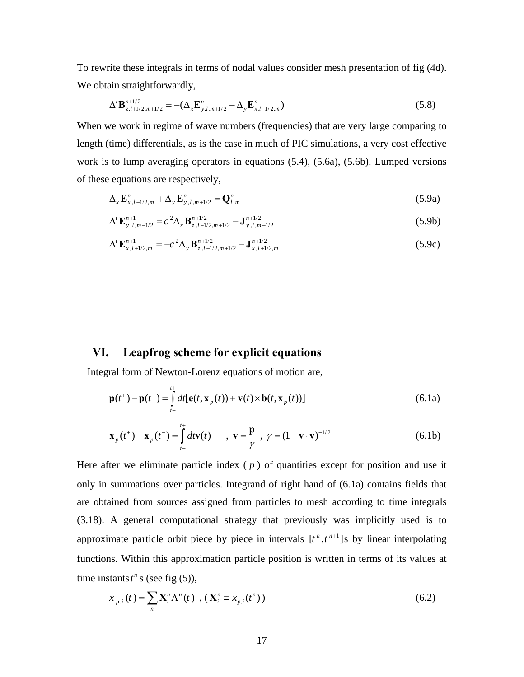To rewrite these integrals in terms of nodal values consider mesh presentation of fig (4d). We obtain straightforwardly,

$$
\Delta^{\prime} \mathbf{B}_{z,l+1/2,m+1/2}^{n+1/2} = -(\Delta_x \mathbf{E}_{y,l,m+1/2}^n - \Delta_y \mathbf{E}_{x,l+1/2,m}^n)
$$
\n(5.8)

When we work in regime of wave numbers (frequencies) that are very large comparing to length (time) differentials, as is the case in much of PIC simulations, a very cost effective work is to lump averaging operators in equations (5.4), (5.6a), (5.6b). Lumped versions of these equations are respectively,

$$
\Delta_{x} \mathbf{E}_{x, l+1/2, m}^{n} + \Delta_{y} \mathbf{E}_{y, l, m+1/2}^{n} = \mathbf{Q}_{l, m}^{n}
$$
\n(5.9a)

$$
\Delta^{\prime} \mathbf{E}_{y,l,m+1/2}^{n+1} = c^2 \Delta_x \mathbf{B}_{z,l+1/2,m+1/2}^{n+1/2} - \mathbf{J}_{y,l,m+1/2}^{n+1/2}
$$
(5.9b)

$$
\Delta^{\prime} \mathbf{E}_{x,l+1/2,m}^{n+1} = -c^2 \Delta_y \mathbf{B}_{z,l+1/2,m+1/2}^{n+1/2} - \mathbf{J}_{x,l+1/2,m}^{n+1/2}
$$
(5.9c)

# **VI. Leapfrog scheme for explicit equations**

Integral form of Newton-Lorenz equations of motion are,

$$
\mathbf{p}(t^+) - \mathbf{p}(t^-) = \int_{t^-}^{t^+} dt [\mathbf{e}(t, \mathbf{x}_p(t)) + \mathbf{v}(t) \times \mathbf{b}(t, \mathbf{x}_p(t))]
$$
(6.1a)

$$
\mathbf{x}_{p}(t^{+}) - \mathbf{x}_{p}(t^{-}) = \int_{t^{-}}^{t^{+}} dt \mathbf{v}(t) \qquad , \ \mathbf{v} = \frac{\mathbf{p}}{\gamma} \ , \ \gamma = (1 - \mathbf{v} \cdot \mathbf{v})^{-1/2}
$$
(6.1b)

Here after we eliminate particle index  $(p)$  of quantities except for position and use it only in summations over particles. Integrand of right hand of (6.1a) contains fields that are obtained from sources assigned from particles to mesh according to time integrals (3.18). A general computational strategy that previously was implicitly used is to approximate particle orbit piece by piece in intervals  $[t^n, t^{n+1}]$  by linear interpolating functions. Within this approximation particle position is written in terms of its values at time instants  $t^n$  s (see fig (5)),

$$
x_{p,i}(t) = \sum_{n} \mathbf{X}_{i}^{n} \Lambda^{n}(t) , (\mathbf{X}_{i}^{n} \equiv x_{p,i}(t^{n}))
$$
 (6.2)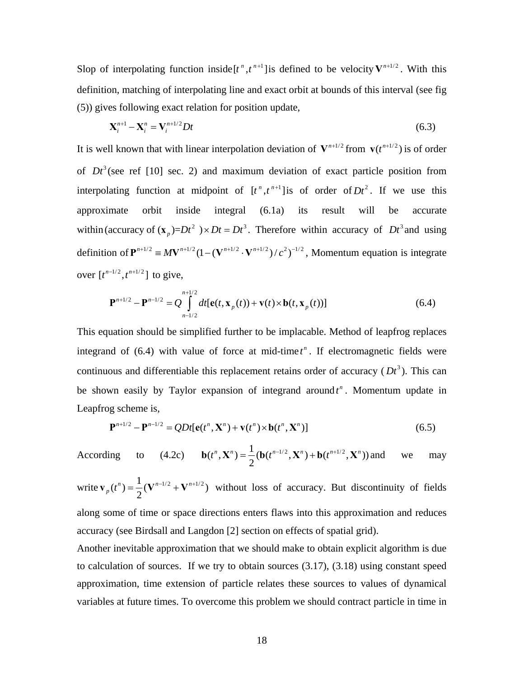Slop of interpolating function inside  $[t^n, t^{n+1}]$  is defined to be velocity  $V^{n+1/2}$ . With this definition, matching of interpolating line and exact orbit at bounds of this interval (see fig (5)) gives following exact relation for position update,

$$
\mathbf{X}_i^{n+1} - \mathbf{X}_i^n = \mathbf{V}_i^{n+1/2} Dt
$$
\n
$$
(6.3)
$$

It is well known that with linear interpolation deviation of  $V^{n+1/2}$  from  $v(t^{n+1/2})$  is of order of  $Dt^3$  (see ref [10] sec. 2) and maximum deviation of exact particle position from interpolating function at midpoint of  $[t^n, t^{n+1}]$  is of order of  $Dt^2$ . If we use this approximate orbit inside integral (6.1a) its result will be accurate within (accuracy of  $(\mathbf{x}_n)=Dt^2$ ) ×  $Dt = Dt^3$ . Therefore within accuracy of  $Dt^3$  and using definition of  $\mathbf{P}^{n+1/2} = MV^{n+1/2}(1-(V^{n+1/2} \cdot V^{n+1/2})/c^2)^{-1/2}$ , Momentum equation is integrate over  $[t^{n-1/2}, t^{n+1/2}]$  to give,

$$
\mathbf{P}^{n+1/2} - \mathbf{P}^{n-1/2} = Q \int_{n-1/2}^{n+1/2} dt [\mathbf{e}(t, \mathbf{x}_p(t)) + \mathbf{v}(t) \times \mathbf{b}(t, \mathbf{x}_p(t))]
$$
(6.4)

This equation should be simplified further to be implacable. Method of leapfrog replaces integrand of  $(6.4)$  with value of force at mid-time  $t^n$ . If electromagnetic fields were continuous and differentiable this replacement retains order of accuracy  $(Dt^3)$ . This can be shown easily by Taylor expansion of integrand around  $t^n$ . Momentum update in Leapfrog scheme is,

$$
\mathbf{P}^{n+1/2} - \mathbf{P}^{n-1/2} = QDt[\mathbf{e}(t^n, \mathbf{X}^n) + \mathbf{v}(t^n) \times \mathbf{b}(t^n, \mathbf{X}^n)]
$$
(6.5)

According to (4.2c)  $\mathbf{b}(t^n, \mathbf{X}^n) = \frac{1}{2} (\mathbf{b}(t^{n-1/2}, \mathbf{X}^n) + \mathbf{b}(t^{n+1/2}, \mathbf{X}^n))$  and we may

write  $\mathbf{v}_p(t^n) = \frac{1}{2} (\mathbf{V}^{n-1/2} + \mathbf{V}^{n+1/2})$  without loss of accuracy. But discontinuity of fields along some of time or space directions enters flaws into this approximation and reduces accuracy (see Birdsall and Langdon [2] section on effects of spatial grid).

Another inevitable approximation that we should make to obtain explicit algorithm is due to calculation of sources. If we try to obtain sources (3.17), (3.18) using constant speed approximation, time extension of particle relates these sources to values of dynamical variables at future times. To overcome this problem we should contract particle in time in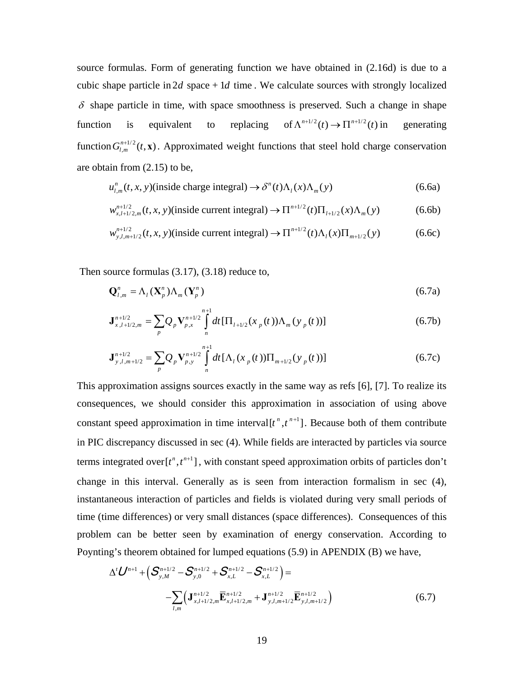source formulas. Form of generating function we have obtained in (2.16d) is due to a cubic shape particle in  $2d$  space + 1d time. We calculate sources with strongly localized  $\delta$  shape particle in time, with space smoothness is preserved. Such a change in shape function is equivalent to replacing of  $\Lambda^{n+1/2}(t) \to \Pi^{n+1/2}(t)$  in generating function  $G_{l,m}^{n+1/2}(t, x)$ . Approximated weight functions that steel hold charge conservation are obtain from (2.15) to be,

$$
u_{l,m}^n(t, x, y)
$$
(inside charge integral)  $\rightarrow \delta^n(t)\Lambda_l(x)\Lambda_m(y)$  (6.6a)

$$
w_{x,l+1/2,m}^{n+1/2}(t,x,y)
$$
 (inside current integral)  $\to \Pi^{n+1/2}(t)\Pi_{l+1/2}(x)\Lambda_m(y)$  (6.6b)

$$
w_{y,l,m+1/2}^{n+1/2}(t,x,y)
$$
 (inside current integral)  $\rightarrow \Pi^{n+1/2}(t)\Lambda_l(x)\Pi_{m+1/2}(y)$  (6.6c)

Then source formulas (3.17), (3.18) reduce to,

$$
\mathbf{Q}_{l,m}^{n} = \Lambda_l(\mathbf{X}_p^{n})\Lambda_m(\mathbf{Y}_p^{n})
$$
\n(6.7a)

$$
\mathbf{J}_{x,l+1/2,m}^{n+1/2} = \sum_{p} Q_p \mathbf{V}_{p,x}^{n+1/2} \int_{n}^{n+1} dt \left[ \Pi_{l+1/2}(x_p(t)) \Lambda_m(y_p(t)) \right]
$$
(6.7b)

$$
\mathbf{J}_{y,l,m+1/2}^{n+1/2} = \sum_{p} Q_p \mathbf{V}_{p,y}^{n+1/2} \int_{n}^{n+1} dt \left[ \Lambda_l(x_p(t)) \Pi_{m+1/2}(y_p(t)) \right]
$$
(6.7c)

This approximation assigns sources exactly in the same way as refs [6], [7]. To realize its consequences, we should consider this approximation in association of using above constant speed approximation in time interval  $[t^n, t^{n+1}]$ . Because both of them contribute in PIC discrepancy discussed in sec (4). While fields are interacted by particles via source terms integrated over  $[t^n, t^{n+1}]$ , with constant speed approximation orbits of particles don't change in this interval. Generally as is seen from interaction formalism in sec (4), instantaneous interaction of particles and fields is violated during very small periods of time (time differences) or very small distances (space differences). Consequences of this problem can be better seen by examination of energy conservation. According to Poynting's theorem obtained for lumped equations (5.9) in APENDIX (B) we have,

$$
\Delta^{t} \mathbf{U}^{n+1} + \left( \mathbf{S}_{y,M}^{n+1/2} - \mathbf{S}_{y,0}^{n+1/2} + \mathbf{S}_{x,L}^{n+1/2} - \mathbf{S}_{x,L}^{n+1/2} \right) =
$$
  
-
$$
\sum_{l,m} \left( \mathbf{J}_{x,l+1/2,m}^{n+1/2} \overline{\mathbf{E}}_{x,l+1/2,m}^{n+1/2} + \mathbf{J}_{y,l,m+1/2}^{n+1/2} \overline{\mathbf{E}}_{y,l,m+1/2}^{n+1/2} \right)
$$
(6.7)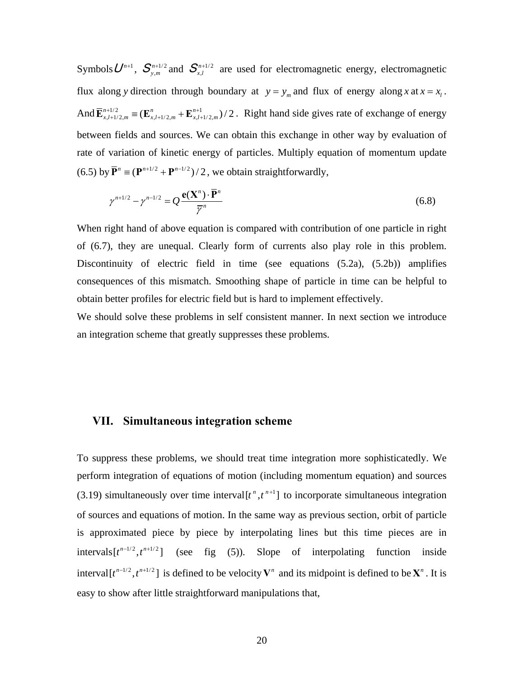$\mathop{\mathsf{Symbols}}\limits U^{_{n+1}},\ \mathop{\mathcal{S}_{y,m}^{_{n+1/2}}}$ *n*  $S_{y,m}^{n+1/2}$  and  $S_{x,l}^{n+1/2}$ *n*  $S_{x,l}^{n+1/2}$  are used for electromagnetic energy, electromagnetic flux along *y* direction through boundary at  $y = y_m$  and flux of energy along *x* at  $x = x_l$ . And  $\overline{\mathbf{E}}_{x,l+1/2,m}^{n+1/2} \equiv (\mathbf{E}_{x,l+1/2,m}^n + \mathbf{E}_{x,l+1/2,m}^{n+1})/2$ . Right hand side gives rate of exchange of energy between fields and sources. We can obtain this exchange in other way by evaluation of rate of variation of kinetic energy of particles. Multiply equation of momentum update (6.5) by  $\overline{\mathbf{P}}^n \equiv (\mathbf{P}^{n+1/2} + \mathbf{P}^{n-1/2})/2$ , we obtain straightforwardly,

$$
\gamma^{n+1/2} - \gamma^{n-1/2} = Q \frac{\mathbf{e}(\mathbf{X}^n) \cdot \overline{\mathbf{P}}^n}{\overline{\gamma}^n}
$$
\n(6.8)

When right hand of above equation is compared with contribution of one particle in right of (6.7), they are unequal. Clearly form of currents also play role in this problem. Discontinuity of electric field in time (see equations  $(5.2a)$ ,  $(5.2b)$ ) amplifies consequences of this mismatch. Smoothing shape of particle in time can be helpful to obtain better profiles for electric field but is hard to implement effectively.

We should solve these problems in self consistent manner. In next section we introduce an integration scheme that greatly suppresses these problems.

# **VII. Simultaneous integration scheme**

To suppress these problems, we should treat time integration more sophisticatedly. We perform integration of equations of motion (including momentum equation) and sources (3.19) simultaneously over time interval  $[t^n, t^{n+1}]$  to incorporate simultaneous integration of sources and equations of motion. In the same way as previous section, orbit of particle is approximated piece by piece by interpolating lines but this time pieces are in  $intervals [t^{n-1/2}, t^{n+1/2}]$  (see fig (5)). Slope of interpolating function inside interval  $[t^{n-1/2}, t^{n+1/2}]$  is defined to be velocity  $V^n$  and its midpoint is defined to be  $X^n$ . It is easy to show after little straightforward manipulations that,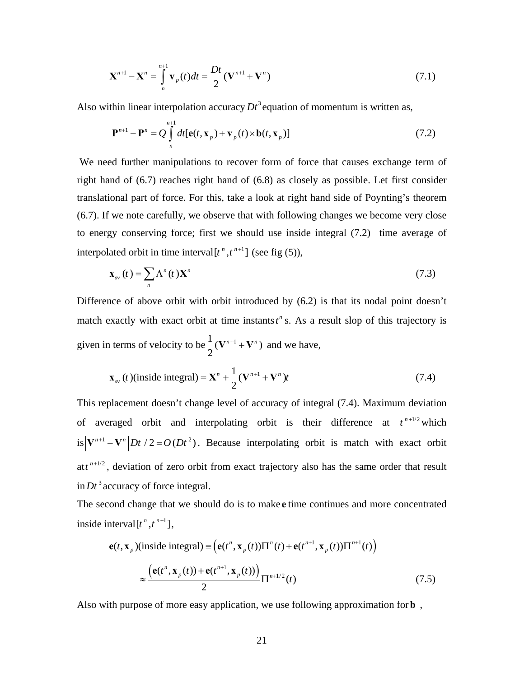$$
\mathbf{X}^{n+1} - \mathbf{X}^n = \int\limits_{n}^{n+1} \mathbf{v}_p(t) dt = \frac{Dt}{2} (\mathbf{V}^{n+1} + \mathbf{V}^n)
$$
 (7.1)

Also within linear interpolation accuracy  $Dt^3$  equation of momentum is written as,

$$
\mathbf{P}^{n+1} - \mathbf{P}^n = Q \int\limits_{n}^{n+1} dt [\mathbf{e}(t, \mathbf{x}_p) + \mathbf{v}_p(t) \times \mathbf{b}(t, \mathbf{x}_p)] \tag{7.2}
$$

 We need further manipulations to recover form of force that causes exchange term of right hand of (6.7) reaches right hand of (6.8) as closely as possible. Let first consider translational part of force. For this, take a look at right hand side of Poynting's theorem (6.7). If we note carefully, we observe that with following changes we become very close to energy conserving force; first we should use inside integral (7.2) time average of interpolated orbit in time interval  $[t^n, t^{n+1}]$  (see fig (5)),

$$
\mathbf{x}_{av}(t) = \sum_{n} \Lambda^{n}(t) \mathbf{X}^{n}
$$
\n(7.3)

Difference of above orbit with orbit introduced by (6.2) is that its nodal point doesn't match exactly with exact orbit at time instants  $t^n$  s. As a result slop of this trajectory is given in terms of velocity to be  $\frac{1}{2} (\mathbf{V}^{n+1} + \mathbf{V}^n)$ 2  $V^{n+1} + V^n$ ) and we have,

$$
\mathbf{x}_{av}(t)(\text{inside integral}) = \mathbf{X}^{n} + \frac{1}{2}(\mathbf{V}^{n+1} + \mathbf{V}^{n})t
$$
\n(7.4)

This replacement doesn't change level of accuracy of integral (7.4). Maximum deviation of averaged orbit and interpolating orbit is their difference at  $t^{n+1/2}$  which is  $|\mathbf{V}^{n+1} - \mathbf{V}^{n}|$  *Dt* /2 =  $O(Dt^2)$ . Because interpolating orbit is match with exact orbit at  $t^{n+1/2}$ , deviation of zero orbit from exact trajectory also has the same order that result in  $Dt^3$  accuracy of force integral.

The second change that we should do is to make **e** time continues and more concentrated inside interval  $[t^n, t^{n+1}]$ .

$$
\mathbf{e}(t, \mathbf{x}_p)(\text{inside integral}) \equiv \left(\mathbf{e}(t^n, \mathbf{x}_p(t))\Pi^n(t) + \mathbf{e}(t^{n+1}, \mathbf{x}_p(t))\Pi^{n+1}(t)\right)
$$

$$
\approx \frac{\left(\mathbf{e}(t^n, \mathbf{x}_p(t)) + \mathbf{e}(t^{n+1}, \mathbf{x}_p(t))\right)}{2}\Pi^{n+1/2}(t) \tag{7.5}
$$

Also with purpose of more easy application, we use following approximation for**b** ,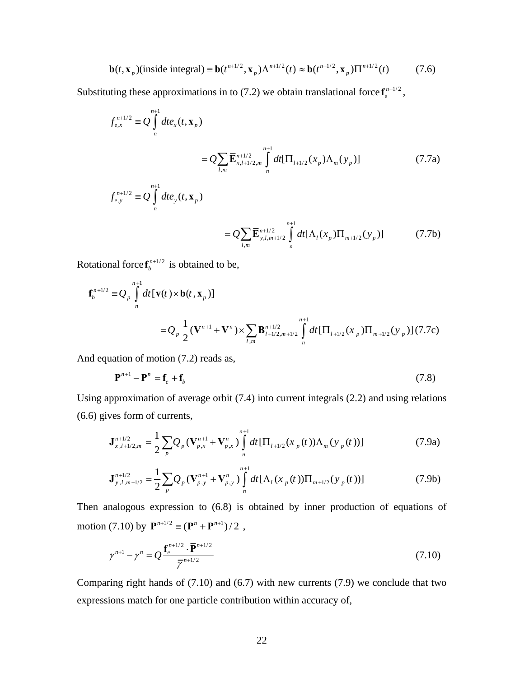$$
\mathbf{b}(t, \mathbf{x}_p)(\text{inside integral}) \equiv \mathbf{b}(t^{n+1/2}, \mathbf{x}_p) \Lambda^{n+1/2}(t) \approx \mathbf{b}(t^{n+1/2}, \mathbf{x}_p) \Pi^{n+1/2}(t) \tag{7.6}
$$

Substituting these approximations in to (7.2) we obtain translational force  $f_e^{n+1/2}$ ,

$$
f_{e,x}^{n+1/2} = Q \int_{n}^{n+1} dt e_x(t, \mathbf{x}_p)
$$
  
\n
$$
= Q \sum_{l,m} \overline{\mathbf{E}}_{x,l+1/2,m}^{n+1/2} \int_{n}^{n+1} dt [\Pi_{l+1/2}(x_p) \Lambda_m(y_p)]
$$
(7.7a)  
\n
$$
f_{e,y}^{n+1/2} = Q \int_{n}^{n+1} dt e_y(t, \mathbf{x}_p)
$$
  
\n
$$
= Q \sum_{y,l,m+1/2} \overline{\mathbf{E}}_{y,l,m+1/2}^{n+1/2} \int_{n}^{n+1} dt [\Lambda_l(x_p) \Pi_{m+1/2}(y_p)]
$$
(7.7b)

 $l,m+1/2$   $\mathbf{u}_l \mathbf{u}_l \mathbf{v}_p$   $\mathbf{u}_p \mathbf{u}_m$ 

 $y, l, m+1/2$  |  $u \iota_1 \iota_2 \iota_3$  /  $u \iota_{m+1/2} \iota_3$ 

Rotational force  $f_b^{n+1/2}$  is obtained to be,

$$
\mathbf{f}_{b}^{n+1/2} = Q_{p} \int_{n}^{n+1} dt [\mathbf{v}(t) \times \mathbf{b}(t, \mathbf{x}_{p})]
$$
  
=  $Q_{p} \frac{1}{2} (\mathbf{V}^{n+1} + \mathbf{V}^{n}) \times \sum_{l,m} \mathbf{B}_{l+1/2,m+1/2}^{n+1/2} \int_{n}^{n+1} dt [\Pi_{l+1/2}(x_{p}) \Pi_{m+1/2}(y_{p})](7.7c)$ 

*l m n*

,

And equation of motion (7.2) reads as,

$$
\mathbf{P}^{n+1} - \mathbf{P}^n = \mathbf{f}_e + \mathbf{f}_b \tag{7.8}
$$

Using approximation of average orbit (7.4) into current integrals (2.2) and using relations (6.6) gives form of currents,

$$
\mathbf{J}_{x,l+1/2,m}^{n+1/2} = \frac{1}{2} \sum_{p} Q_p (\mathbf{V}_{p,x}^{n+1} + \mathbf{V}_{p,x}^n) \int_{n}^{n+1} dt \left[ \Pi_{l+1/2} (x_p(t)) \Lambda_m (y_p(t)) \right]
$$
(7.9a)

$$
\mathbf{J}_{y,l,m+1/2}^{n+1/2} = \frac{1}{2} \sum_{p} Q_{p} (\mathbf{V}_{p,y}^{n+1} + \mathbf{V}_{p,y}^{n}) \int_{n}^{n+1} dt \left[ \Lambda_{l} (x_{p}(t)) \Pi_{m+1/2} (y_{p}(t)) \right]
$$
(7.9b)

Then analogous expression to (6.8) is obtained by inner production of equations of motion (7.10) by  $\overline{\mathbf{P}}^{n+1/2} \equiv (\mathbf{P}^n + \mathbf{P}^{n+1})/2$ ,

$$
\gamma^{n+1} - \gamma^n = Q \frac{\mathbf{f}_e^{n+1/2} \cdot \overline{\mathbf{P}}^{n+1/2}}{\overline{\gamma}^{n+1/2}}
$$
(7.10)

Comparing right hands of  $(7.10)$  and  $(6.7)$  with new currents  $(7.9)$  we conclude that two expressions match for one particle contribution within accuracy of,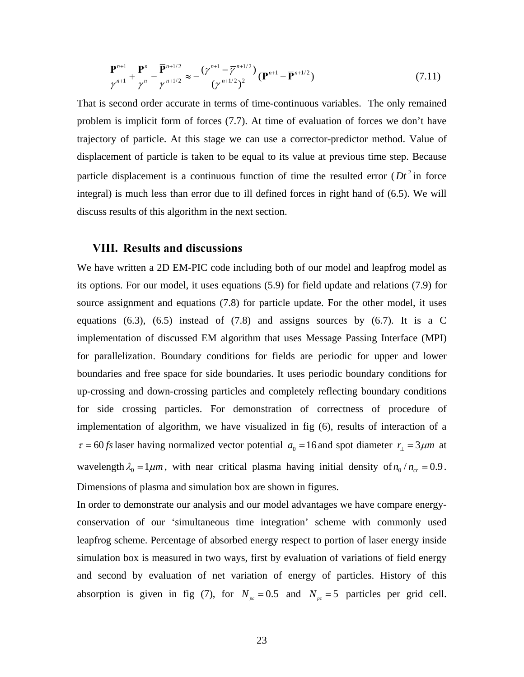$$
\frac{\mathbf{P}^{n+1}}{\gamma^{n+1}} + \frac{\mathbf{P}^n}{\gamma^n} - \frac{\overline{\mathbf{P}}^{n+1/2}}{\overline{\gamma}^{n+1/2}} \approx -\frac{(\gamma^{n+1} - \overline{\gamma}^{n+1/2})}{(\overline{\gamma}^{n+1/2})^2} (\mathbf{P}^{n+1} - \overline{\mathbf{P}}^{n+1/2})
$$
(7.11)

That is second order accurate in terms of time-continuous variables. The only remained problem is implicit form of forces (7.7). At time of evaluation of forces we don't have trajectory of particle. At this stage we can use a corrector-predictor method. Value of displacement of particle is taken to be equal to its value at previous time step. Because particle displacement is a continuous function of time the resulted error  $(Dt^2)$  in force integral) is much less than error due to ill defined forces in right hand of (6.5). We will discuss results of this algorithm in the next section.

#### **VIII. Results and discussions**

We have written a 2D EM-PIC code including both of our model and leapfrog model as its options. For our model, it uses equations (5.9) for field update and relations (7.9) for source assignment and equations (7.8) for particle update. For the other model, it uses equations  $(6.3)$ ,  $(6.5)$  instead of  $(7.8)$  and assigns sources by  $(6.7)$ . It is a C implementation of discussed EM algorithm that uses Message Passing Interface (MPI) for parallelization. Boundary conditions for fields are periodic for upper and lower boundaries and free space for side boundaries. It uses periodic boundary conditions for up-crossing and down-crossing particles and completely reflecting boundary conditions for side crossing particles. For demonstration of correctness of procedure of implementation of algorithm, we have visualized in fig (6), results of interaction of a  $\tau = 60$  *fs* laser having normalized vector potential  $a_0 = 16$  and spot diameter  $r_1 = 3 \mu m$  at wavelength  $\lambda_0 = 1 \mu m$ , with near critical plasma having initial density of  $n_0 / n_{cr} = 0.9$ . Dimensions of plasma and simulation box are shown in figures.

In order to demonstrate our analysis and our model advantages we have compare energyconservation of our 'simultaneous time integration' scheme with commonly used leapfrog scheme. Percentage of absorbed energy respect to portion of laser energy inside simulation box is measured in two ways, first by evaluation of variations of field energy and second by evaluation of net variation of energy of particles. History of this absorption is given in fig (7), for  $N_{pc} = 0.5$  and  $N_{pc} = 5$  particles per grid cell.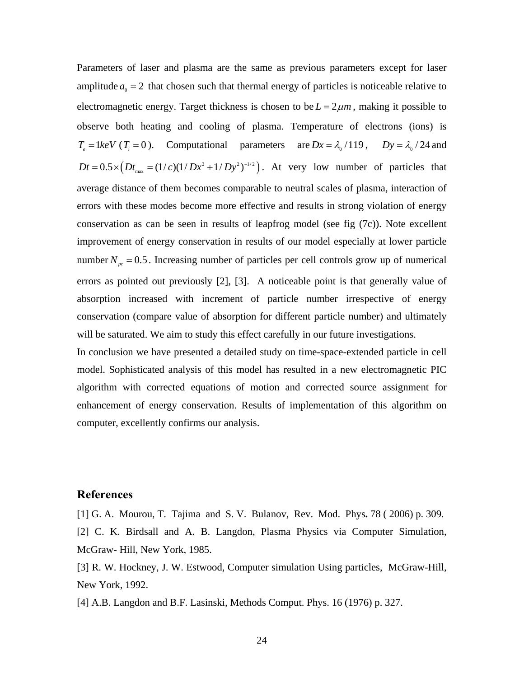Parameters of laser and plasma are the same as previous parameters except for laser amplitude  $a_0 = 2$  that chosen such that thermal energy of particles is noticeable relative to electromagnetic energy. Target thickness is chosen to be  $L = 2 \mu m$ , making it possible to observe both heating and cooling of plasma. Temperature of electrons (ions) is  $T_e = 1 keV$  ( $T_i = 0$ ). Computational parameters are  $Dx = \lambda_0 / 119$ ,  $Dy = \lambda_0 / 24$  and  $Dt = 0.5 \times \left( Dt_{\text{max}} = \frac{1}{c} \frac{1}{D} \frac{1}{Dt^2} + \frac{1}{D} \frac{1}{Dt^2} \right)$ . At very low number of particles that average distance of them becomes comparable to neutral scales of plasma, interaction of errors with these modes become more effective and results in strong violation of energy conservation as can be seen in results of leapfrog model (see fig (7c)). Note excellent improvement of energy conservation in results of our model especially at lower particle number  $N_{pc} = 0.5$ . Increasing number of particles per cell controls grow up of numerical errors as pointed out previously [2], [3]. A noticeable point is that generally value of absorption increased with increment of particle number irrespective of energy conservation (compare value of absorption for different particle number) and ultimately will be saturated. We aim to study this effect carefully in our future investigations.

In conclusion we have presented a detailed study on time-space-extended particle in cell model. Sophisticated analysis of this model has resulted in a new electromagnetic PIC algorithm with corrected equations of motion and corrected source assignment for enhancement of energy conservation. Results of implementation of this algorithm on computer, excellently confirms our analysis.

#### **References**

[1] G. A. Mourou, T. Tajima and S. V. Bulanov, Rev. Mod. Phys**.** 78 ( 2006) p. 309. [2] C. K. Birdsall and A. B. Langdon, Plasma Physics via Computer Simulation, McGraw- Hill, New York, 1985.

[3] R. W. Hockney, J. W. Estwood, Computer simulation Using particles, McGraw-Hill, New York, 1992.

[4] A.B. Langdon and B.F. Lasinski, Methods Comput. Phys. 16 (1976) p. 327.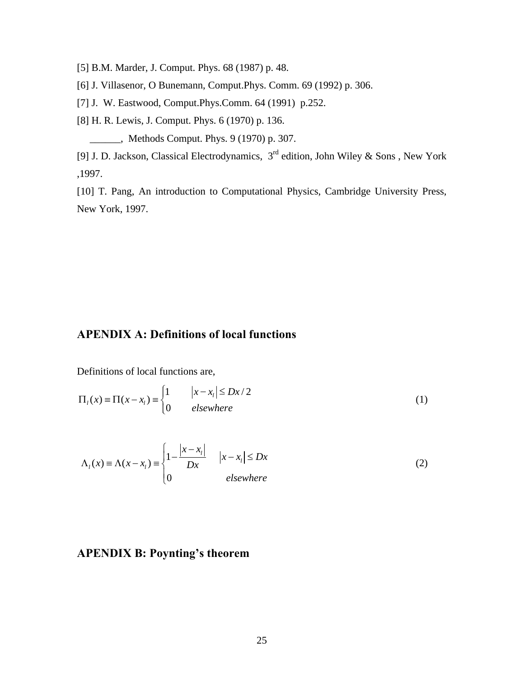[5] B.M. Marder, J. Comput. Phys. 68 (1987) p. 48.

[6] J. Villasenor, O Bunemann, Comput.Phys. Comm. 69 (1992) p. 306.

[7] J. W. Eastwood, Comput.Phys.Comm. 64 (1991) p.252.

[8] H. R. Lewis, J. Comput. Phys. 6 (1970) p. 136.

\_\_\_\_\_\_, Methods Comput. Phys. 9 (1970) p. 307.

[9] J. D. Jackson, Classical Electrodynamics, 3rd edition, John Wiley & Sons , New York ,1997.

[10] T. Pang, An introduction to Computational Physics, Cambridge University Press, New York, 1997.

# **APENDIX A: ِDefinitions of local functions**

Definitions of local functions are,

$$
\Pi_{l}(x) \equiv \Pi(x - x_{l}) \equiv \begin{cases} 1 & |x - x_{l}| \leq Dx/2 \\ 0 & elsewhere \end{cases}
$$
 (1)

$$
\Lambda_{i}(x) \equiv \Lambda(x - x_{i}) \equiv \begin{cases} 1 - \frac{|x - x_{i}|}{Dx} & |x - x_{i}| \leq Dx \\ 0 & \text{elsewhere} \end{cases} \tag{2}
$$

# **APENDIX B: Poynting's theorem**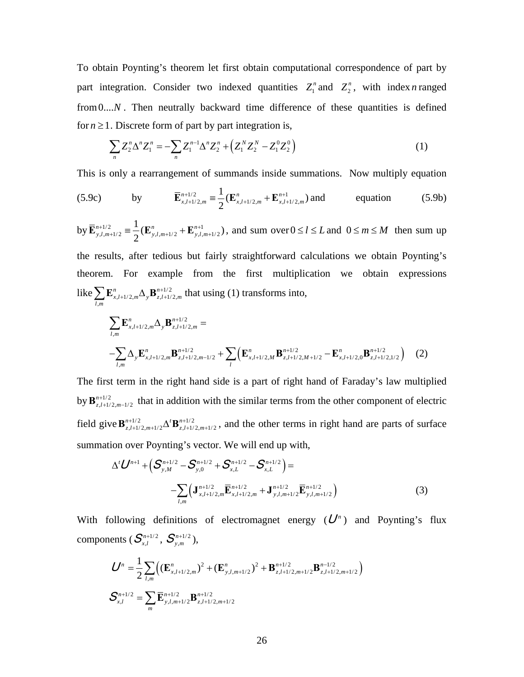To obtain Poynting's theorem let first obtain computational correspondence of part by part integration. Consider two indexed quantities  $Z_1^n$  and  $Z_2^n$ , with index *n* ranged from0....*N*. Then neutrally backward time difference of these quantities is defined for  $n \geq 1$ . Discrete form of part by part integration is,

$$
\sum_{n} Z_2^n \Delta^n Z_1^n = -\sum_{n} Z_1^{n-1} \Delta^n Z_2^n + \left( Z_1^N Z_2^N - Z_1^0 Z_2^0 \right) \tag{1}
$$

This is only a rearrangement of summands inside summations. Now multiply equation

(5.9c) by 
$$
\overline{\mathbf{E}}_{x,l+1/2,m}^{n+1/2} = \frac{1}{2} (\mathbf{E}_{x,l+1/2,m}^{n} + \mathbf{E}_{x,l+1/2,m}^{n+1})
$$
 and equation (5.9b)

by  $\overline{\mathbf{E}}_{y,l,m+1/2}^{n+1/2} \equiv \frac{1}{2} (\mathbf{E}_{y,l,m+1/2}^{n} + \mathbf{E}_{y,l,m+1/2}^{n+1})$ 2  $n+1/2 = \frac{1}{\sqrt{N}} n$  $\overline{\mathbf{E}}_{y,l,m+1/2}^{n+1/2} = \frac{1}{2} (\mathbf{E}_{y,l,m+1/2}^n + \mathbf{E}_{y,l,m+1/2}^{n+1})$ , and sum over  $0 \le l \le L$  and  $0 \le m \le M$  then sum up the results, after tedious but fairly straightforward calculations we obtain Poynting's theorem. For example from the first multiplication we obtain expressions like  $\sum \mathbf{E}_{x,l+1/2,m}^n \Delta_y \mathbf{B}_{z,l+1/2,n}^{n+1/2}$  $n \longrightarrow \mathbf{D}^n$  $x, l+1/2, m \rightarrow y \rightarrow z, l+1/2, m$  $\sum \mathbf{E}_{x, l+1/2, m}^{n} \Delta_y \mathbf{B}_{z, l+1/2, m}^{n+1/2}$  that using (1) transforms into,

,

*l m*

$$
\sum_{l,m} \mathbf{E}_{x,l+1/2,m}^{n} \Delta_y \mathbf{B}_{z,l+1/2,m}^{n+1/2} =
$$
\n
$$
-\sum_{l,m} \Delta_y \mathbf{E}_{x,l+1/2,m}^{n} \mathbf{B}_{z,l+1/2,m-1/2}^{n+1/2} + \sum_{l} \left( \mathbf{E}_{x,l+1/2,M}^{n} \mathbf{B}_{z,l+1/2,M+1/2}^{n+1/2} - \mathbf{E}_{x,l+1/2,0}^{n} \mathbf{B}_{z,l+1/2,1/2}^{n+1/2} \right) (2)
$$

The first term in the right hand side is a part of right hand of Faraday's law multiplied by  $\mathbf{B}^{n+1/2}_{z,l+1/2,m-1/2}$ *n*  ${\bf B}^{n+1/2}_{z,l+1/2,m-1/2}$  that in addition with the similar terms from the other component of electric field give  ${\bf B}^{n+1/2}_{z,l+1/2,m+1/2}$   $\Delta^{t} {\bf B}^{n+1/2}_{z,l+1/2,m+1/2}$  $n+1/2$   $A^t \mathbf{D}^n$  ${\bf B}^{n+1/2}_{z,l+1/2,m+1/2}$   $\Delta^{t} {\bf B}^{n+1/2}_{z,l+1/2,m+1/2}$ , and the other terms in right hand are parts of surface summation over Poynting's vector. We will end up with,

$$
\Delta^{t} \mathbf{U}^{n+1} + \left( \mathbf{S}_{y,M}^{n+1/2} - \mathbf{S}_{y,0}^{n+1/2} + \mathbf{S}_{x,L}^{n+1/2} - \mathbf{S}_{x,L}^{n+1/2} \right) =
$$
  
-
$$
\sum_{l,m} \left( \mathbf{J}_{x,l+1/2,m}^{n+1/2} \overline{\mathbf{E}}_{x,l+1/2,m}^{n+1/2} + \mathbf{J}_{y,l,m+1/2}^{n+1/2} \overline{\mathbf{E}}_{y,l,m+1/2}^{n+1/2} \right)
$$
(3)

With following definitions of electromagnet energy  $(U^n)$  and Poynting's flux components  $(S_{x,l}^{n+1/2}, S_{y,m}^{n+1/2}),$ 

$$
U^{n} = \frac{1}{2} \sum_{l,m} \Big( (\mathbf{E}_{x,l+1/2,m}^{n})^{2} + (\mathbf{E}_{y,l,m+1/2}^{n})^{2} + \mathbf{B}_{z,l+1/2,m+1/2}^{n+1/2} \mathbf{B}_{z,l+1/2,m+1/2}^{n-1/2} \Big)
$$

$$
\mathbf{S}_{x,l}^{n+1/2} = \sum_{m} \mathbf{\overline{E}}_{y,l,m+1/2}^{n+1/2} \mathbf{B}_{z,l+1/2,m+1/2}^{n+1/2}
$$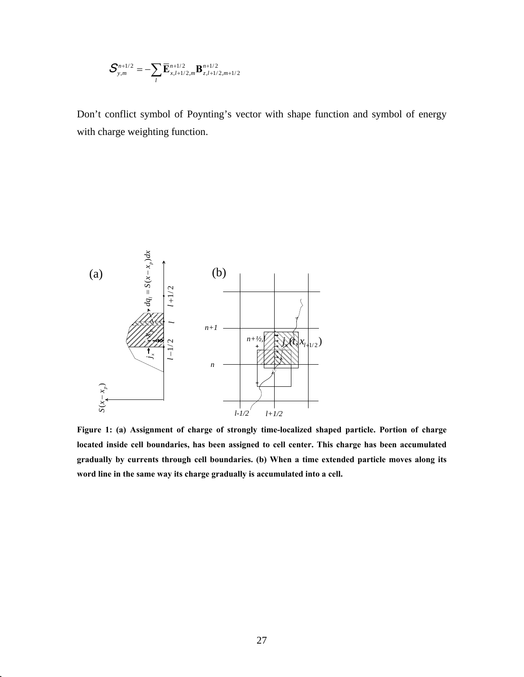$$
\boldsymbol{S}_{y,m}^{n+1/2} = -\sum_{l} \overline{\mathbf{E}}_{x,l+1/2,m}^{n+1/2} \mathbf{B}_{z,l+1/2,m+1/2}^{n+1/2}
$$

Don't conflict symbol of Poynting's vector with shape function and symbol of energy with charge weighting function.



**Figure 1: (a) Assignment of charge of strongly time-localized shaped particle. Portion of charge located inside cell boundaries, has been assigned to cell center. This charge has been accumulated gradually by currents through cell boundaries. (b) When a time extended particle moves along its word line in the same way its charge gradually is accumulated into a cell.**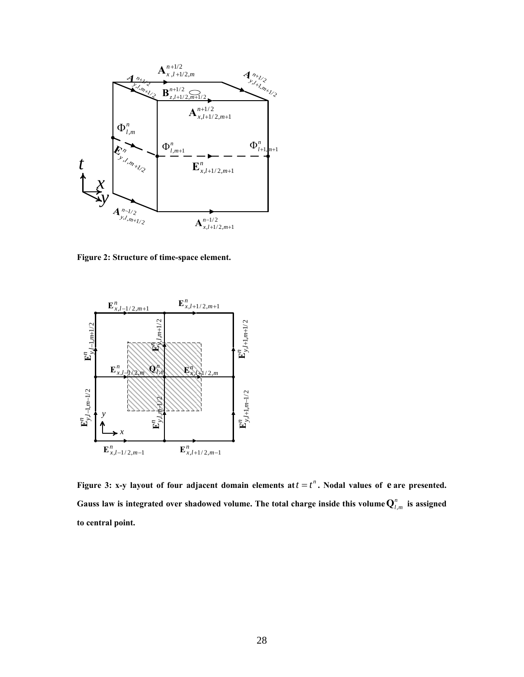

**Figure 2: Structure of time-space element.** 



**Figure 3: x-y layout of four adjacent domain elements at**  $t = t^n$ **. Nodal values of**  $e$  **are presented.** Gauss law is integrated over shadowed volume. The total charge inside this volume  $\mathbf{Q}_{l,m}^n$  is assigned **to central point.**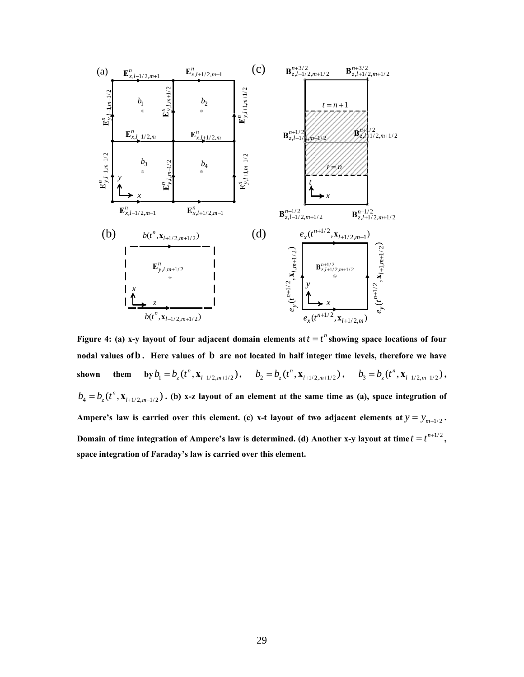

**Figure 4: (a) x-y layout of four adjacent domain elements at**  $t = t^n$  **showing space locations of four nodal values ofb . Here values of b are not located in half integer time levels, therefore we have**  shown them by  $b_1 = b_z(t^n, \mathbf{x}_{l-1/2,m+1/2}), \quad b_2 = b_z(t^n, \mathbf{x}_{l+1/2,m+1/2}), \quad b_3 = b_z(t^n, \mathbf{x}_{l-1/2,m-1/2}),$  $b_4 = b_5(t^n, \mathbf{x}_{l+1/2, m-l/2})$ . (b) x-z layout of an element at the same time as (a), space integration of Ampere's law is carried over this element. (c) x-t layout of two adjacent elements at  $y = y_{m+1/2}$ . **Domain of time integration of Ampere's law is determined. (d) Another x-y layout at time**  $t = t^{n+1/2}$ **, space integration of Faraday's law is carried over this element.**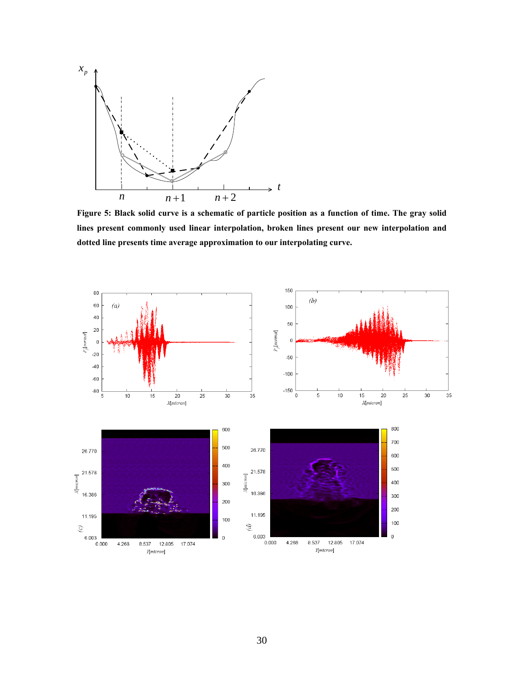

**Figure 5: Black solid curve is a schematic of particle position as a function of time. The gray solid lines present commonly used linear interpolation, broken lines present our new interpolation and dotted line presents time average approximation to our interpolating curve.**